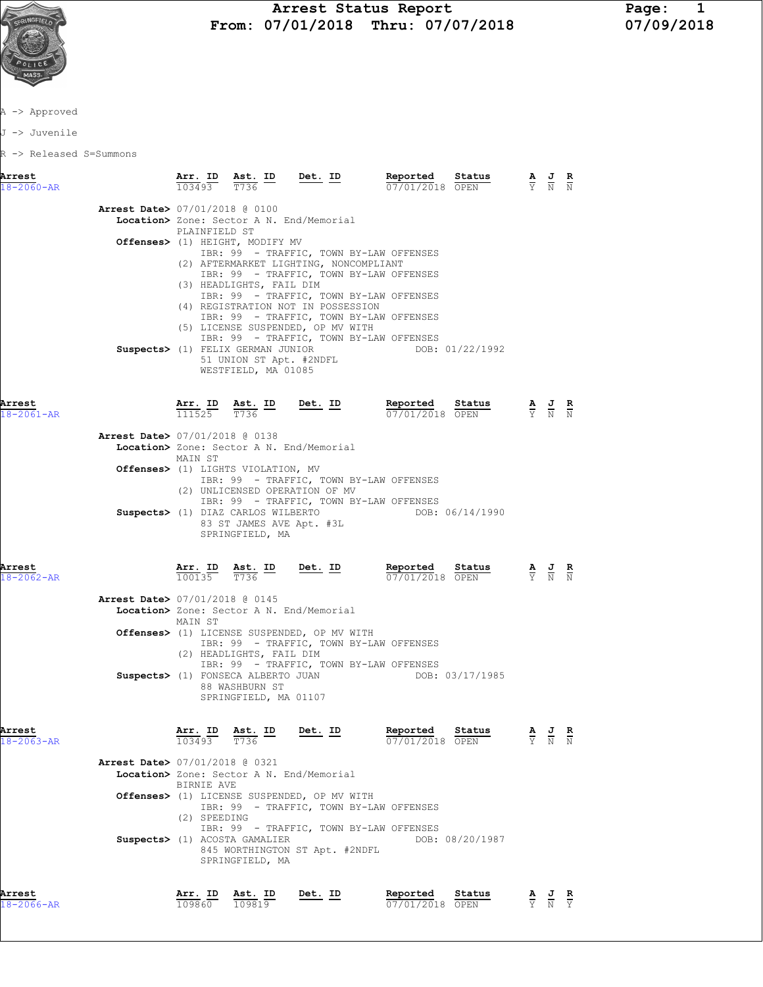

## Arrest Status Report Page: 1<br>07/01/2018 Thru: 07/07/2018 07/09/2018 From: 07/01/2018 Thru: 07/07/2018

A -> Approved

J -> Juvenile

R -> Released S=Summons

| Arrest<br>$18 - 2060 - AR$ |                                          |                          | Arr. ID Ast. ID Det. ID<br>$\frac{103493}{}$ $\frac{103493}{}$                                                |                                                                                                                                                               | <b>Reported Status A J R</b> 07/01/2018 OPEN Y N N                                                                                                                                                                                                                       |                 |                                                                                                 |  |
|----------------------------|------------------------------------------|--------------------------|---------------------------------------------------------------------------------------------------------------|---------------------------------------------------------------------------------------------------------------------------------------------------------------|--------------------------------------------------------------------------------------------------------------------------------------------------------------------------------------------------------------------------------------------------------------------------|-----------------|-------------------------------------------------------------------------------------------------|--|
|                            | Arrest Date> 07/01/2018 @ 0100           | PLAINFIELD ST            | Offenses> (1) HEIGHT, MODIFY MV<br>(3) HEADLIGHTS, FAIL DIM<br>51 UNION ST Apt. #2NDFL<br>WESTFIELD, MA 01085 | Location> Zone: Sector A N. End/Memorial<br>(2) AFTERMARKET LIGHTING, NONCOMPLIANT<br>(4) REGISTRATION NOT IN POSSESSION<br>(5) LICENSE SUSPENDED, OP MV WITH | IBR: 99 - TRAFFIC, TOWN BY-LAW OFFENSES<br>IBR: 99 - TRAFFIC, TOWN BY-LAW OFFENSES<br>IBR: 99 - TRAFFIC, TOWN BY-LAW OFFENSES<br>IBR: 99 - TRAFFIC, TOWN BY-LAW OFFENSES<br>IBR: 99 - TRAFFIC, TOWN BY-LAW OFFENSES<br>Suspects> (1) FELIX GERMAN JUNIOR DOB: 01/22/1992 |                 |                                                                                                 |  |
| Arrest<br>$18 - 2061 - AR$ |                                          |                          |                                                                                                               |                                                                                                                                                               | <b>Arr. ID</b> Ast. ID Det. ID Reported Status A J R<br>111525 $\overline{T}$ 736 $\overline{P}$ Det. ID Reported Status $\overline{P}$ A J R                                                                                                                            |                 |                                                                                                 |  |
|                            | <b>Arrest Date&gt; 07/01/2018 @ 0138</b> | MAIN ST                  |                                                                                                               | Location> Zone: Sector A N. End/Memorial                                                                                                                      |                                                                                                                                                                                                                                                                          |                 |                                                                                                 |  |
|                            |                                          |                          | Offenses> (1) LIGHTS VIOLATION, MV                                                                            | (2) UNLICENSED OPERATION OF MV                                                                                                                                | IBR: 99 - TRAFFIC, TOWN BY-LAW OFFENSES                                                                                                                                                                                                                                  |                 |                                                                                                 |  |
|                            |                                          |                          | 83 ST JAMES AVE Apt. #3L<br>SPRINGFIELD, MA                                                                   |                                                                                                                                                               | IBR: 99 - TRAFFIC, TOWN BY-LAW OFFENSES<br>Suspects> (1) DIAZ CARLOS WILBERTO DOB: 06/14/1990                                                                                                                                                                            |                 |                                                                                                 |  |
| Arrest<br>$18 - 2062 - AR$ |                                          |                          |                                                                                                               |                                                                                                                                                               | <b>Arr. ID</b> Ast. ID Det. ID Reported Status 100135 $\frac{7736}{100135}$ Det. ID Reported Status<br>07/01/2018 OPEN                                                                                                                                                   |                 | $\frac{\mathbf{A}}{\mathbf{Y}}$ $\frac{\mathbf{J}}{\mathbf{N}}$ $\frac{\mathbf{R}}{\mathbf{N}}$ |  |
|                            | Arrest Date> 07/01/2018 @ 0145           | MAIN ST                  |                                                                                                               | Location> Zone: Sector A N. End/Memorial                                                                                                                      |                                                                                                                                                                                                                                                                          |                 |                                                                                                 |  |
|                            |                                          |                          | (2) HEADLIGHTS, FAIL DIM                                                                                      | Offenses> (1) LICENSE SUSPENDED, OP MV WITH                                                                                                                   | IBR: 99 - TRAFFIC, TOWN BY-LAW OFFENSES                                                                                                                                                                                                                                  |                 |                                                                                                 |  |
|                            |                                          |                          | 88 WASHBURN ST<br>SPRINGFIELD, MA 01107                                                                       |                                                                                                                                                               | IBR: 99 - TRAFFIC, TOWN BY-LAW OFFENSES<br>Suspects> (1) FONSECA ALBERTO JUAN DOB: 03/17/1985                                                                                                                                                                            |                 |                                                                                                 |  |
| Arrest<br>$18 - 2063 - AR$ |                                          |                          | $\frac{\texttt{Arr.}}{103493}$ $\frac{\texttt{ Ast.}}{T736}$ ID                                               | <u>Det.</u> ID                                                                                                                                                | Reported Status<br>07/01/2018 OPEN                                                                                                                                                                                                                                       |                 | $\overline{Y}$ $\overline{N}$ $\overline{N}$                                                    |  |
|                            | Arrest Date> 07/01/2018 @ 0321           | BIRNIE AVE               |                                                                                                               | Location> Zone: Sector A N. End/Memorial                                                                                                                      |                                                                                                                                                                                                                                                                          |                 |                                                                                                 |  |
|                            |                                          | (2) SPEEDING             |                                                                                                               | Offenses> (1) LICENSE SUSPENDED, OP MV WITH                                                                                                                   | IBR: 99 - TRAFFIC, TOWN BY-LAW OFFENSES                                                                                                                                                                                                                                  |                 |                                                                                                 |  |
|                            |                                          |                          | Suspects> (1) ACOSTA GAMALIER<br>SPRINGFIELD, MA                                                              | 845 WORTHINGTON ST Apt. #2NDFL                                                                                                                                | IBR: 99 - TRAFFIC, TOWN BY-LAW OFFENSES                                                                                                                                                                                                                                  | DOB: 08/20/1987 |                                                                                                 |  |
| Arrest<br>18-2066-AR       |                                          | <u>Arr. ID</u><br>109860 | <u>Ast. ID</u><br>109819                                                                                      | <u>Det. ID</u>                                                                                                                                                | Reported<br>07/01/2018 OPEN                                                                                                                                                                                                                                              | Status          | $\frac{\mathbf{A}}{\mathbf{Y}}$ $\frac{\mathbf{J}}{\mathbf{N}}$ $\frac{\mathbf{R}}{\mathbf{Y}}$ |  |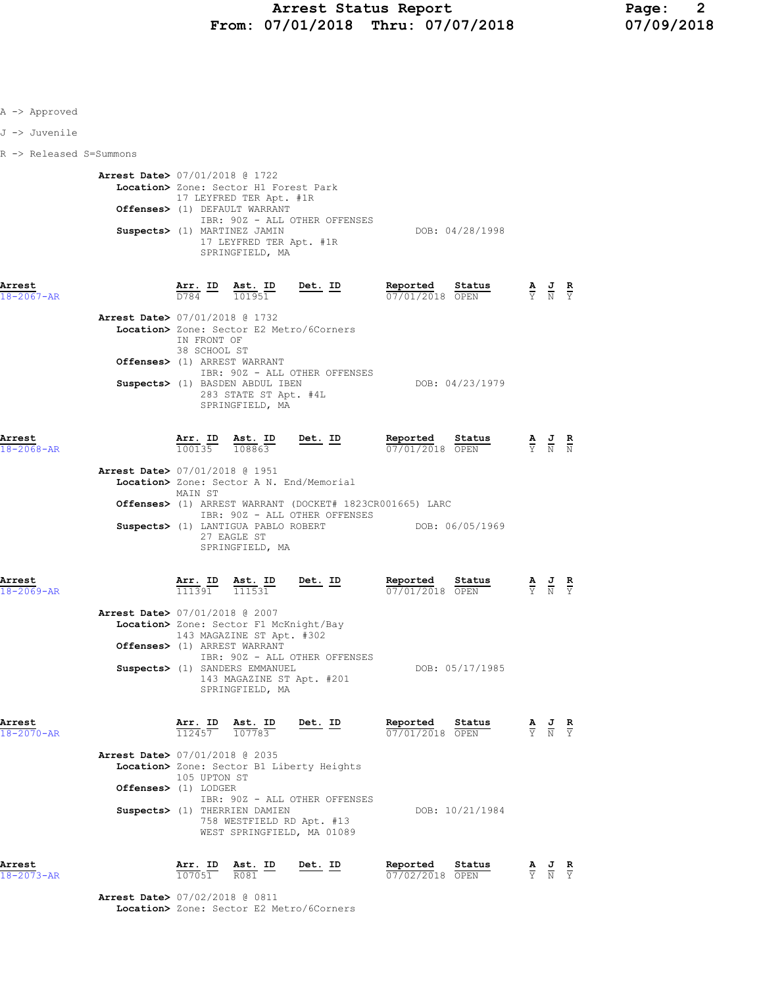| A -> Approved              |                                          |                             |                                                                                                                                                                                 |                                                                                                                 |                                    |                 |                                                                                                 |  |
|----------------------------|------------------------------------------|-----------------------------|---------------------------------------------------------------------------------------------------------------------------------------------------------------------------------|-----------------------------------------------------------------------------------------------------------------|------------------------------------|-----------------|-------------------------------------------------------------------------------------------------|--|
| J -> Juvenile              |                                          |                             |                                                                                                                                                                                 |                                                                                                                 |                                    |                 |                                                                                                 |  |
| R -> Released S=Summons    |                                          |                             |                                                                                                                                                                                 |                                                                                                                 |                                    |                 |                                                                                                 |  |
|                            | <b>Arrest Date&gt; 07/01/2018 @ 1722</b> |                             | Location> Zone: Sector H1 Forest Park<br>17 LEYFRED TER Apt. #1R<br>Offenses> (1) DEFAULT WARRANT<br>Suspects> (1) MARTINEZ JAMIN<br>17 LEYFRED TER Apt. #1R<br>SPRINGFIELD, MA | IBR: 90Z - ALL OTHER OFFENSES                                                                                   |                                    | DOB: 04/28/1998 |                                                                                                 |  |
| Arrest<br>$18 - 2067 - AR$ |                                          |                             |                                                                                                                                                                                 | $\frac{\texttt{Arr.}}{D784}$ ID $\frac{\texttt{ Ast.}}{101951}$ Det. ID                                         | Reported Status<br>07/01/2018 OPEN |                 | $\frac{\mathbf{A}}{\mathbf{Y}}$ $\frac{\mathbf{J}}{\mathbf{N}}$ $\frac{\mathbf{R}}{\mathbf{Y}}$ |  |
|                            | <b>Arrest Date&gt; 07/01/2018 @ 1732</b> | IN FRONT OF<br>38 SCHOOL ST | Offenses> (1) ARREST WARRANT<br>Suspects> (1) BASDEN ABDUL IBEN<br>283 STATE ST Apt. #4L<br>SPRINGFIELD, MA                                                                     | Location> Zone: Sector E2 Metro/6Corners<br>IBR: 90Z - ALL OTHER OFFENSES                                       |                                    | DOB: 04/23/1979 |                                                                                                 |  |
| Arrest<br>$18 - 2068 - AR$ | <b>Arrest Date&gt; 07/01/2018 @ 1951</b> | MAIN ST                     | $\frac{\text{Arr.}}{100135}$ $\frac{\text{Ast.}}{108863}$                                                                                                                       | Det. ID<br>Location> Zone: Sector A N. End/Memorial<br>Offenses> (1) ARREST WARRANT (DOCKET# 1823CR001665) LARC | Reported<br>07/01/2018 OPEN        | Status          | $\frac{\mathbf{A}}{\mathbf{Y}}$ $\frac{\mathbf{J}}{\mathbf{N}}$ $\frac{\mathbf{R}}{\mathbf{N}}$ |  |
| Arrest                     |                                          | $Arr.$ ID                   | Suspects> (1) LANTIGUA PABLO ROBERT<br>27 EAGLE ST<br>SPRINGFIELD, MA<br>$\underbrace{\texttt{Ast.}}$ ID Det. ID                                                                | IBR: 90Z - ALL OTHER OFFENSES                                                                                   | DOB: 06/05/1969<br>Reported        | <u>Status</u>   |                                                                                                 |  |
| $18 - 2069 - AR$           | Arrest Date> 07/01/2018 @ 2007           | 111391                      | 111531<br>Location> Zone: Sector F1 McKnight/Bay<br>143 MAGAZINE ST Apt. #302<br>Offenses> (1) ARREST WARRANT<br>Suspects> (1) SANDERS EMMANUEL                                 | IBR: 90Z - ALL OTHER OFFENSES<br>143 MAGAZINE ST Apt. #201                                                      | 07/01/2018 OPEN                    | DOB: 05/17/1985 | $\frac{\mathbf{A}}{\mathbf{Y}}$ $\frac{\mathbf{J}}{\mathbf{N}}$ $\frac{\mathbf{R}}{\mathbf{Y}}$ |  |
| Arrest<br>18-2070-AR       | Arrest Date> 07/01/2018 @ 2035           |                             | SPRINGFIELD, MA<br><b><u>Arr. ID</u> Ast. ID Det. ID</b><br>$\frac{12457}{112457}$ <b>107783</b>                                                                                | Location> Zone: Sector B1 Liberty Heights                                                                       | Reported<br>07/01/2018 OPEN        | Status          | $\frac{\mathbf{A}}{\mathbf{Y}}$ $\frac{\mathbf{J}}{\mathbf{N}}$ $\frac{\mathbf{R}}{\mathbf{Y}}$ |  |
|                            | Offenses> (1) LODGER                     | 105 UPTON ST                | Suspects> (1) THERRIEN DAMIEN                                                                                                                                                   | IBR: 90Z - ALL OTHER OFFENSES<br>758 WESTFIELD RD Apt. #13<br>WEST SPRINGFIELD, MA 01089                        |                                    | DOB: 10/21/1984 |                                                                                                 |  |
| Arrest<br>$18 - 2073 - AR$ | <b>Arrest Date&gt;</b> 07/02/2018 @ 0811 | Arr. ID<br>107051           | Ast. ID<br>R081                                                                                                                                                                 | Det. ID                                                                                                         | Reported<br>$07/02/2018$ OPEN      | Status          | $\frac{\mathbf{A}}{\mathbf{Y}}$ $\frac{\mathbf{J}}{\mathbf{N}}$ $\frac{\mathbf{R}}{\mathbf{Y}}$ |  |
|                            |                                          |                             |                                                                                                                                                                                 |                                                                                                                 |                                    |                 |                                                                                                 |  |

Location> Zone: Sector E2 Metro/6Corners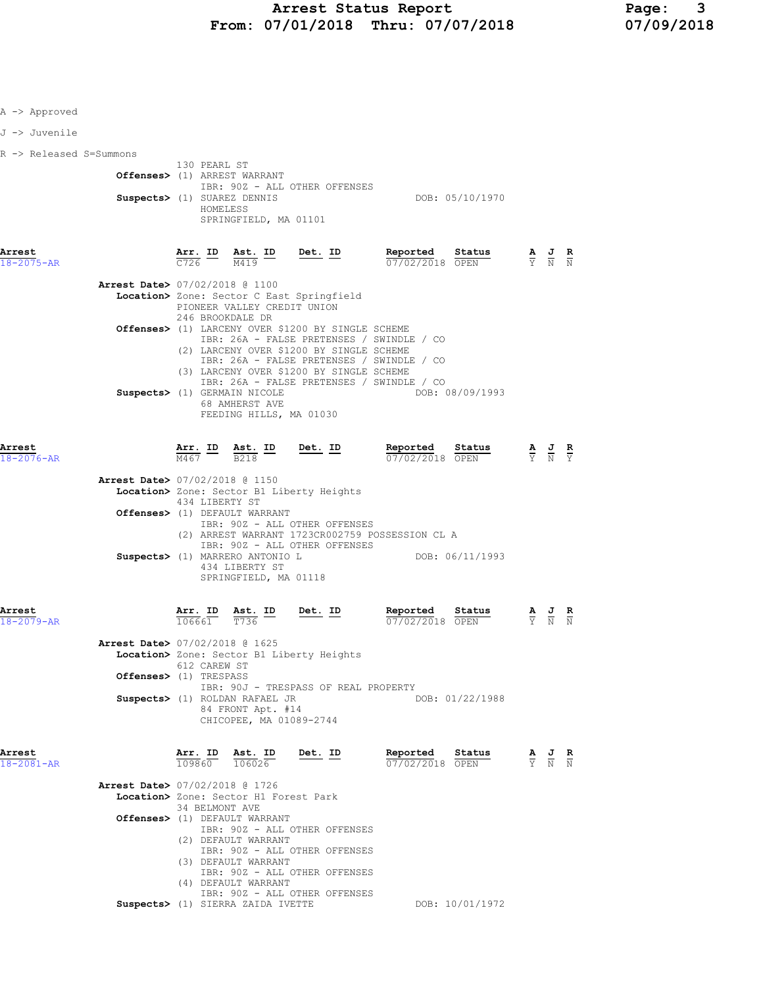| A -> Approved           |                                          |                          |                                                                          |                                                                                           |                                                                                                            |                                                                                                 |                                                                                                 |  |
|-------------------------|------------------------------------------|--------------------------|--------------------------------------------------------------------------|-------------------------------------------------------------------------------------------|------------------------------------------------------------------------------------------------------------|-------------------------------------------------------------------------------------------------|-------------------------------------------------------------------------------------------------|--|
| J -> Juvenile           |                                          |                          |                                                                          |                                                                                           |                                                                                                            |                                                                                                 |                                                                                                 |  |
| R -> Released S=Summons |                                          | 130 PEARL ST             |                                                                          |                                                                                           |                                                                                                            |                                                                                                 |                                                                                                 |  |
|                         |                                          |                          | Offenses> (1) ARREST WARRANT                                             |                                                                                           |                                                                                                            |                                                                                                 |                                                                                                 |  |
|                         |                                          |                          | Suspects> (1) SUAREZ DENNIS                                              | IBR: 90Z - ALL OTHER OFFENSES                                                             | DOB: 05/10/1970                                                                                            |                                                                                                 |                                                                                                 |  |
|                         |                                          |                          | HOMELESS<br>SPRINGFIELD, MA 01101                                        |                                                                                           |                                                                                                            |                                                                                                 |                                                                                                 |  |
|                         |                                          |                          |                                                                          |                                                                                           |                                                                                                            |                                                                                                 |                                                                                                 |  |
| Arrest                  |                                          |                          |                                                                          | $\frac{\texttt{Arr.}}{\texttt{C726}}$ ID $\frac{\texttt{Ast.}}{\texttt{M419}}$ ID Det. ID | Reported Status<br><b>Reported Status</b> $\frac{A}{Y}$ <b>J R</b><br>$\frac{D}{N}$ <b>N</b> $\frac{D}{N}$ |                                                                                                 |                                                                                                 |  |
| $18 - 2075 - AR$        |                                          |                          |                                                                          |                                                                                           |                                                                                                            |                                                                                                 |                                                                                                 |  |
|                         | Arrest Date> 07/02/2018 @ 1100           |                          |                                                                          | Location> Zone: Sector C East Springfield                                                 |                                                                                                            |                                                                                                 |                                                                                                 |  |
|                         |                                          |                          | PIONEER VALLEY CREDIT UNION<br>246 BROOKDALE DR                          |                                                                                           |                                                                                                            |                                                                                                 |                                                                                                 |  |
|                         |                                          |                          |                                                                          | Offenses> (1) LARCENY OVER \$1200 BY SINGLE SCHEME                                        |                                                                                                            |                                                                                                 |                                                                                                 |  |
|                         |                                          |                          |                                                                          | IBR: 26A - FALSE PRETENSES / SWINDLE / CO<br>(2) LARCENY OVER \$1200 BY SINGLE SCHEME     |                                                                                                            |                                                                                                 |                                                                                                 |  |
|                         |                                          |                          |                                                                          | IBR: 26A - FALSE PRETENSES / SWINDLE / CO<br>(3) LARCENY OVER \$1200 BY SINGLE SCHEME     |                                                                                                            |                                                                                                 |                                                                                                 |  |
|                         |                                          |                          | Suspects> (1) GERMAIN NICOLE                                             | IBR: 26A - FALSE PRETENSES / SWINDLE / CO                                                 | DOB: 08/09/1993                                                                                            |                                                                                                 |                                                                                                 |  |
|                         |                                          |                          | 68 AMHERST AVE                                                           |                                                                                           |                                                                                                            |                                                                                                 |                                                                                                 |  |
|                         |                                          |                          | FEEDING HILLS, MA 01030                                                  |                                                                                           |                                                                                                            |                                                                                                 |                                                                                                 |  |
| Arrest                  |                                          |                          |                                                                          |                                                                                           | Reported Status                                                                                            |                                                                                                 |                                                                                                 |  |
| $18 - 2076 - AR$        |                                          |                          |                                                                          | $\frac{\texttt{Arr.}}{\text{M467}}$ ID $\frac{\texttt{ Ast.}}{\text{B218}}$ ID Det. ID    | 07/02/2018 OPEN                                                                                            | $\frac{\mathbf{A}}{\mathbf{Y}}$ $\frac{\mathbf{J}}{\mathbf{N}}$ $\frac{\mathbf{R}}{\mathbf{Y}}$ |                                                                                                 |  |
|                         | Arrest Date> 07/02/2018 @ 1150           |                          |                                                                          |                                                                                           |                                                                                                            |                                                                                                 |                                                                                                 |  |
|                         |                                          | 434 LIBERTY ST           |                                                                          | Location> Zone: Sector B1 Liberty Heights                                                 |                                                                                                            |                                                                                                 |                                                                                                 |  |
|                         |                                          |                          | Offenses> (1) DEFAULT WARRANT                                            | IBR: 90Z - ALL OTHER OFFENSES                                                             |                                                                                                            |                                                                                                 |                                                                                                 |  |
|                         |                                          |                          |                                                                          | IBR: 90Z - ALL OTHER OFFENSES                                                             | (2) ARREST WARRANT 1723CR002759 POSSESSION CL A                                                            |                                                                                                 |                                                                                                 |  |
|                         |                                          |                          | Suspects> (1) MARRERO ANTONIO L                                          |                                                                                           | DOB: 06/11/1993                                                                                            |                                                                                                 |                                                                                                 |  |
|                         |                                          |                          | 434 LIBERTY ST<br>SPRINGFIELD, MA 01118                                  |                                                                                           |                                                                                                            |                                                                                                 |                                                                                                 |  |
|                         |                                          |                          |                                                                          |                                                                                           |                                                                                                            |                                                                                                 |                                                                                                 |  |
| Arrest<br>18-2079-AR    |                                          | <u>Arr. ID</u><br>106661 | <u>Ast. ID</u><br>T736                                                   | $Det. ID$                                                                                 | Reported<br>Status<br>07/02/2018 OPEN                                                                      |                                                                                                 | $\frac{\mathbf{A}}{\mathbf{Y}}$ $\frac{\mathbf{J}}{\mathbf{N}}$ $\frac{\mathbf{R}}{\mathbf{N}}$ |  |
|                         |                                          |                          |                                                                          |                                                                                           |                                                                                                            |                                                                                                 |                                                                                                 |  |
|                         | Arrest Date> 07/02/2018 @ 1625           |                          |                                                                          | Location> Zone: Sector B1 Liberty Heights                                                 |                                                                                                            |                                                                                                 |                                                                                                 |  |
|                         | Offenses> (1) TRESPASS                   | 612 CAREW ST             |                                                                          |                                                                                           |                                                                                                            |                                                                                                 |                                                                                                 |  |
|                         |                                          |                          | Suspects> (1) ROLDAN RAFAEL JR                                           | IBR: 90J - TRESPASS OF REAL PROPERTY                                                      | DOB: 01/22/1988                                                                                            |                                                                                                 |                                                                                                 |  |
|                         |                                          |                          | 84 FRONT Apt. #14                                                        |                                                                                           |                                                                                                            |                                                                                                 |                                                                                                 |  |
|                         |                                          |                          | CHICOPEE, MA 01089-2744                                                  |                                                                                           |                                                                                                            |                                                                                                 |                                                                                                 |  |
| Arrest                  |                                          |                          |                                                                          | <u>Det. ID</u>                                                                            | Reported<br>Status                                                                                         |                                                                                                 |                                                                                                 |  |
| $18 - 2081 - AR$        |                                          |                          | $\frac{\texttt{Arr.}}{109860}$ $\frac{\texttt{ Ast.}}{106026}$<br>106026 |                                                                                           | 07/02/2018 OPEN                                                                                            |                                                                                                 | $\frac{\mathbf{A}}{\mathbf{Y}}$ $\frac{\mathbf{J}}{\mathbf{N}}$ $\frac{\mathbf{R}}{\mathbf{N}}$ |  |
|                         | <b>Arrest Date&gt; 07/02/2018 @ 1726</b> |                          |                                                                          |                                                                                           |                                                                                                            |                                                                                                 |                                                                                                 |  |
|                         |                                          | 34 BELMONT AVE           | Location> Zone: Sector H1 Forest Park                                    |                                                                                           |                                                                                                            |                                                                                                 |                                                                                                 |  |
|                         |                                          |                          | Offenses> (1) DEFAULT WARRANT                                            | IBR: 90Z - ALL OTHER OFFENSES                                                             |                                                                                                            |                                                                                                 |                                                                                                 |  |
|                         |                                          |                          | (2) DEFAULT WARRANT                                                      |                                                                                           |                                                                                                            |                                                                                                 |                                                                                                 |  |
|                         |                                          |                          | (3) DEFAULT WARRANT                                                      | IBR: 90Z - ALL OTHER OFFENSES                                                             |                                                                                                            |                                                                                                 |                                                                                                 |  |
|                         |                                          |                          | (4) DEFAULT WARRANT                                                      | IBR: 90Z - ALL OTHER OFFENSES                                                             |                                                                                                            |                                                                                                 |                                                                                                 |  |
|                         |                                          |                          | Suspects> (1) SIERRA ZAIDA IVETTE                                        | IBR: 90Z - ALL OTHER OFFENSES                                                             | DOB: 10/01/1972                                                                                            |                                                                                                 |                                                                                                 |  |
|                         |                                          |                          |                                                                          |                                                                                           |                                                                                                            |                                                                                                 |                                                                                                 |  |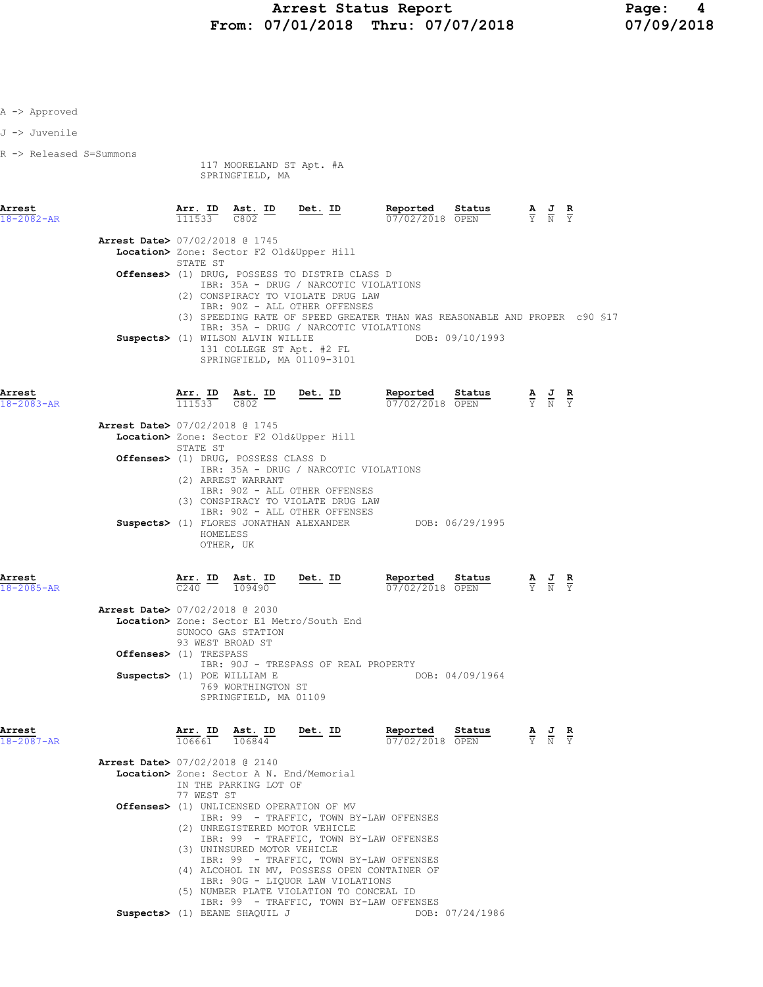| A -> Approved              |                                          |            |                                                                                      |                                                                                                                                                                                                                                                     |                                                                                               |                                                                                                 |  |
|----------------------------|------------------------------------------|------------|--------------------------------------------------------------------------------------|-----------------------------------------------------------------------------------------------------------------------------------------------------------------------------------------------------------------------------------------------------|-----------------------------------------------------------------------------------------------|-------------------------------------------------------------------------------------------------|--|
| J -> Juvenile              |                                          |            |                                                                                      |                                                                                                                                                                                                                                                     |                                                                                               |                                                                                                 |  |
| R -> Released S=Summons    |                                          |            | 117 MOORELAND ST Apt. #A<br>SPRINGFIELD, MA                                          |                                                                                                                                                                                                                                                     |                                                                                               |                                                                                                 |  |
| Arrest<br>$18 - 2082 - AR$ |                                          |            | $\frac{\texttt{Arr.}}{111533}$ $\frac{\texttt{ Ast.}}{C802}$ $\frac{\texttt{ID}}{C}$ | Det. ID                                                                                                                                                                                                                                             | Reported Status<br>$07/02/2018$ OPEN                                                          | $\frac{\mathbf{A}}{\mathbf{Y}}$ $\frac{\mathbf{J}}{\mathbf{N}}$ $\frac{\mathbf{R}}{\mathbf{Y}}$ |  |
|                            | Arrest Date> 07/02/2018 @ 1745           | STATE ST   |                                                                                      | Location> Zone: Sector F2 Old&Upper Hill                                                                                                                                                                                                            |                                                                                               |                                                                                                 |  |
|                            |                                          |            |                                                                                      | Offenses> (1) DRUG, POSSESS TO DISTRIB CLASS D<br>IBR: 35A - DRUG / NARCOTIC VIOLATIONS                                                                                                                                                             |                                                                                               |                                                                                                 |  |
|                            |                                          |            | Suspects> (1) WILSON ALVIN WILLIE                                                    | (2) CONSPIRACY TO VIOLATE DRUG LAW<br>IBR: 90Z - ALL OTHER OFFENSES<br>IBR: 35A - DRUG / NARCOTIC VIOLATIONS<br>131 COLLEGE ST Apt. #2 FL<br>SPRINGFIELD, MA 01109-3101                                                                             | (3) SPEEDING RATE OF SPEED GREATER THAN WAS REASONABLE AND PROPER c90 \$17<br>DOB: 09/10/1993 |                                                                                                 |  |
| Arrest<br>$18 - 2083 - AR$ |                                          | 111533     | Arr. ID Ast. ID<br>C802                                                              | Det. ID                                                                                                                                                                                                                                             | <b>Reported Status A J</b><br>$\frac{07}{07/02/2018}$ OPEN $\frac{1}{Y}$ N                    |                                                                                                 |  |
|                            | <b>Arrest Date&gt; 07/02/2018 @ 1745</b> |            |                                                                                      |                                                                                                                                                                                                                                                     |                                                                                               |                                                                                                 |  |
|                            |                                          | STATE ST   | Offenses> (1) DRUG, POSSESS CLASS D                                                  | Location> Zone: Sector F2 Old&Upper Hill                                                                                                                                                                                                            |                                                                                               |                                                                                                 |  |
|                            |                                          |            | (2) ARREST WARRANT<br>HOMELESS<br>OTHER, UK                                          | IBR: 35A - DRUG / NARCOTIC VIOLATIONS<br>IBR: 90Z - ALL OTHER OFFENSES<br>(3) CONSPIRACY TO VIOLATE DRUG LAW<br>IBR: 90Z - ALL OTHER OFFENSES<br>Suspects> (1) FLORES JONATHAN ALEXANDER                                                            | DOB: 06/29/1995                                                                               |                                                                                                 |  |
| Arrest<br>18-2085-AR       |                                          | C240       | $\frac{\text{Arr}}{\text{Arr}}$ ID $\frac{\text{Ast}}{\text{per}}$ ID<br>109490      | <u>Det.</u> ID                                                                                                                                                                                                                                      | Reported<br>Status<br>07/02/2018 OPEN                                                         | $\frac{\mathbf{A}}{\mathbf{Y}}$ $\frac{\mathbf{J}}{\mathbf{N}}$ $\frac{\mathbf{R}}{\mathbf{Y}}$ |  |
|                            | Arrest Date> 07/02/2018 @ 2030           |            | SUNOCO GAS STATION<br>93 WEST BROAD ST                                               | Location> Zone: Sector E1 Metro/South End                                                                                                                                                                                                           |                                                                                               |                                                                                                 |  |
|                            | Offenses> (1) TRESPASS                   |            |                                                                                      | IBR: 90J - TRESPASS OF REAL PROPERTY                                                                                                                                                                                                                |                                                                                               |                                                                                                 |  |
|                            |                                          |            | Suspects> (1) POE WILLIAM E<br>769 WORTHINGTON ST<br>SPRINGFIELD, MA 01109           |                                                                                                                                                                                                                                                     | DOB: 04/09/1964                                                                               |                                                                                                 |  |
| Arrest<br>18-2087-AR       |                                          | Arr. ID    | Ast. ID<br>106661 106844                                                             | Det. ID                                                                                                                                                                                                                                             | Reported<br>Status<br>07/02/2018 OPEN                                                         | $\frac{\mathbf{A}}{\mathbf{Y}}$ $\frac{\mathbf{J}}{\mathbf{N}}$ $\frac{\mathbf{R}}{\mathbf{Y}}$ |  |
|                            | <b>Arrest Date&gt; 07/02/2018 @ 2140</b> |            |                                                                                      |                                                                                                                                                                                                                                                     |                                                                                               |                                                                                                 |  |
|                            |                                          | 77 WEST ST | IN THE PARKING LOT OF                                                                | Location> Zone: Sector A N. End/Memorial                                                                                                                                                                                                            |                                                                                               |                                                                                                 |  |
|                            |                                          |            |                                                                                      | Offenses> (1) UNLICENSED OPERATION OF MV                                                                                                                                                                                                            |                                                                                               |                                                                                                 |  |
|                            |                                          |            | (3) UNINSURED MOTOR VEHICLE                                                          | IBR: 99 - TRAFFIC, TOWN BY-LAW OFFENSES<br>(2) UNREGISTERED MOTOR VEHICLE<br>IBR: 99 - TRAFFIC, TOWN BY-LAW OFFENSES<br>IBR: 99 - TRAFFIC, TOWN BY-LAW OFFENSES<br>(4) ALCOHOL IN MV, POSSESS OPEN CONTAINER OF<br>IBR: 90G - LIQUOR LAW VIOLATIONS |                                                                                               |                                                                                                 |  |
|                            |                                          |            |                                                                                      | (5) NUMBER PLATE VIOLATION TO CONCEAL ID<br>IBR: 99 - TRAFFIC, TOWN BY-LAW OFFENSES                                                                                                                                                                 |                                                                                               |                                                                                                 |  |
|                            |                                          |            | Suspects> (1) BEANE SHAQUIL J                                                        |                                                                                                                                                                                                                                                     | DOB: 07/24/1986                                                                               |                                                                                                 |  |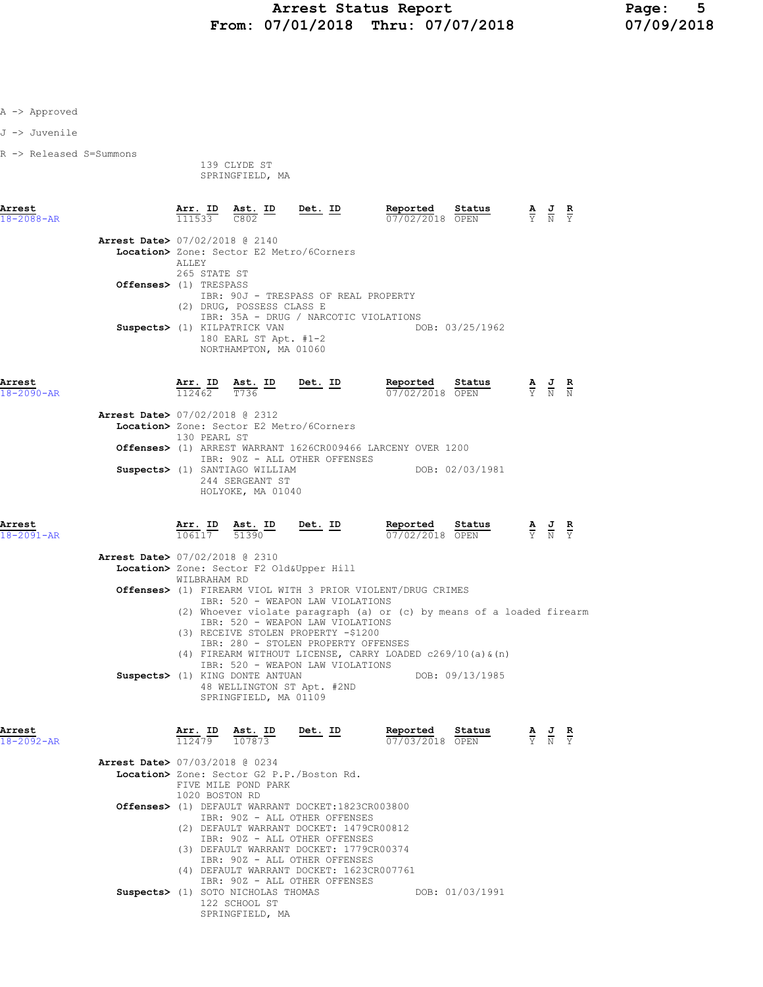J -> Juvenile

R -> Released S=Summons

 139 CLYDE ST SPRINGFIELD, MA

| Arrest<br>$18 - 2088 - AR$     | Arr. ID<br>111533 | Ast. ID<br>C802                                                                  | Det. ID | Reported<br>07/02/2018 | Status<br>OPEN  | $\overline{A}$<br>$\overline{Y}$ | 프<br>N | $\mathbf{R}$<br><b>Y</b> |
|--------------------------------|-------------------|----------------------------------------------------------------------------------|---------|------------------------|-----------------|----------------------------------|--------|--------------------------|
| Arrest Date> 07/02/2018 @ 2140 |                   | Location> Zone: Sector E2 Metro/6Corners                                         |         |                        |                 |                                  |        |                          |
|                                | <b>ALLEY</b>      | 265 STATE ST                                                                     |         |                        |                 |                                  |        |                          |
| Offenses> (1) TRESPASS         |                   | IBR: 90J - TRESPASS OF REAL PROPERTY                                             |         |                        |                 |                                  |        |                          |
|                                | (2)               | DRUG, POSSESS CLASS E<br>IBR: 35A - DRUG / NARCOTIC VIOLATIONS                   |         |                        |                 |                                  |        |                          |
|                                |                   | Suspects> (1) KILPATRICK VAN<br>180 EARL ST Apt. $#1-2$<br>NORTHAMPTON, MA 01060 |         |                        | DOB: 03/25/1962 |                                  |        |                          |

Arrest Arr. ID Ast. ID Det. ID Reported Status A J R

| 130 PEARL ST                  |                                                                                                                        |                                                                                                                               |
|-------------------------------|------------------------------------------------------------------------------------------------------------------------|-------------------------------------------------------------------------------------------------------------------------------|
|                               |                                                                                                                        |                                                                                                                               |
| IBR: 90Z - ALL OTHER OFFENSES |                                                                                                                        |                                                                                                                               |
|                               | DOB: 02/03/1981                                                                                                        |                                                                                                                               |
| 244 SERGEANT ST               |                                                                                                                        |                                                                                                                               |
| HOLYOKE, MA 01040             |                                                                                                                        |                                                                                                                               |
|                               | <b>Arrest Date&gt; 07/02/2018 @ 2312</b><br>Location> Zone: Sector E2 Metro/6Corners<br>Suspects> (1) SANTIAGO WILLIAM | $\overline{07/02/2018}$ OPEN $\overline{Y}$ N N<br>112462 T736<br>Offenses> (1) ARREST WARRANT 1626CR009466 LARCENY OVER 1200 |

<mark>Arrest</mark><br>18-2091-AR

| Arr. ID | Ast. ID | Det. ID | Reported        | Status | $\overline{\phantom{a}}$ | AJR   |  |
|---------|---------|---------|-----------------|--------|--------------------------|-------|--|
| 106117  | 51390   |         | 07/02/2018 OPEN |        |                          | Y N Y |  |

| <b>Arrest Date&gt; 07/02/2018 @ 2310</b>                              |
|-----------------------------------------------------------------------|
| Location> Zone: Sector F2 Old&Upper Hill                              |
| WILBRAHAM RD                                                          |
| <b>Offenses&gt;</b> (1) FIREARM VIOL WITH 3 PRIOR VIOLENT/DRUG CRIMES |
| IBR: 520 - WEAPON LAW VIOLATIONS                                      |
| (2) Whoever violate paragraph (a) or (c) by means of a loaded firearm |
| TBR: 520 - WEAPON LAW VIOLATIONS                                      |
| (3) RECEIVE STOLEN PROPERTY -\$1200                                   |
| IBR: 280 - STOLEN PROPERTY OFFENSES                                   |
| (4) FIREARM WITHOUT LICENSE, CARRY LOADED $c269/10$ (a) & (n)         |
| IBR: 520 - WEAPON LAW VIOLATIONS                                      |
| DOB: 09/13/1985<br>Suspects> (1) KING DONTE ANTUAN                    |
| 48 WELLINGTON ST Apt. #2ND                                            |
| SPRINGFIELD, MA 01109                                                 |
|                                                                       |

| Arrest<br>18-2092-AR |                                | Arr. ID<br>112479 | Ast. ID<br>107873                         | Det. ID | Reported                                          | Status<br>07/03/2018 OPEN | $\frac{\mathbf{A}}{\mathbf{Y}}$ $\frac{\mathbf{J}}{\mathbf{N}}$ | $\mathbf{R}$<br>Y |
|----------------------|--------------------------------|-------------------|-------------------------------------------|---------|---------------------------------------------------|---------------------------|-----------------------------------------------------------------|-------------------|
|                      | Arrest Date> 07/03/2018 @ 0234 |                   |                                           |         |                                                   |                           |                                                                 |                   |
|                      |                                |                   | Location> Zone: Sector G2 P.P./Boston Rd. |         |                                                   |                           |                                                                 |                   |
|                      |                                |                   | FIVE MILE POND PARK                       |         |                                                   |                           |                                                                 |                   |
|                      |                                |                   | 1020 BOSTON RD                            |         |                                                   |                           |                                                                 |                   |
|                      |                                |                   |                                           |         | Offenses> (1) DEFAULT WARRANT DOCKET:1823CR003800 |                           |                                                                 |                   |
|                      |                                |                   | IBR: 90Z - ALL OTHER OFFENSES             |         |                                                   |                           |                                                                 |                   |
|                      |                                | (2)               |                                           |         | DEFAULT WARRANT DOCKET: 1479CR00812               |                           |                                                                 |                   |
|                      |                                |                   | TBR: 90Z - ALL OTHER OFFENSES             |         |                                                   |                           |                                                                 |                   |
|                      |                                | (3)               |                                           |         | DEFAULT WARRANT DOCKET: 1779CR00374               |                           |                                                                 |                   |
|                      |                                |                   | TBR: 90Z - ALL OTHER OFFENSES             |         |                                                   |                           |                                                                 |                   |
|                      |                                | (4)               |                                           |         | DEFAULT WARRANT DOCKET: 1623CR007761              |                           |                                                                 |                   |
|                      |                                |                   | IBR: 90Z - ALL OTHER OFFENSES             |         |                                                   |                           |                                                                 |                   |
|                      | Suspects > (1)                 |                   | SOTO NICHOLAS THOMAS                      |         |                                                   | DOB: 01/03/1991           |                                                                 |                   |
|                      |                                |                   | 122 SCHOOL ST                             |         |                                                   |                           |                                                                 |                   |
|                      |                                |                   | SPRINGFIELD, MA                           |         |                                                   |                           |                                                                 |                   |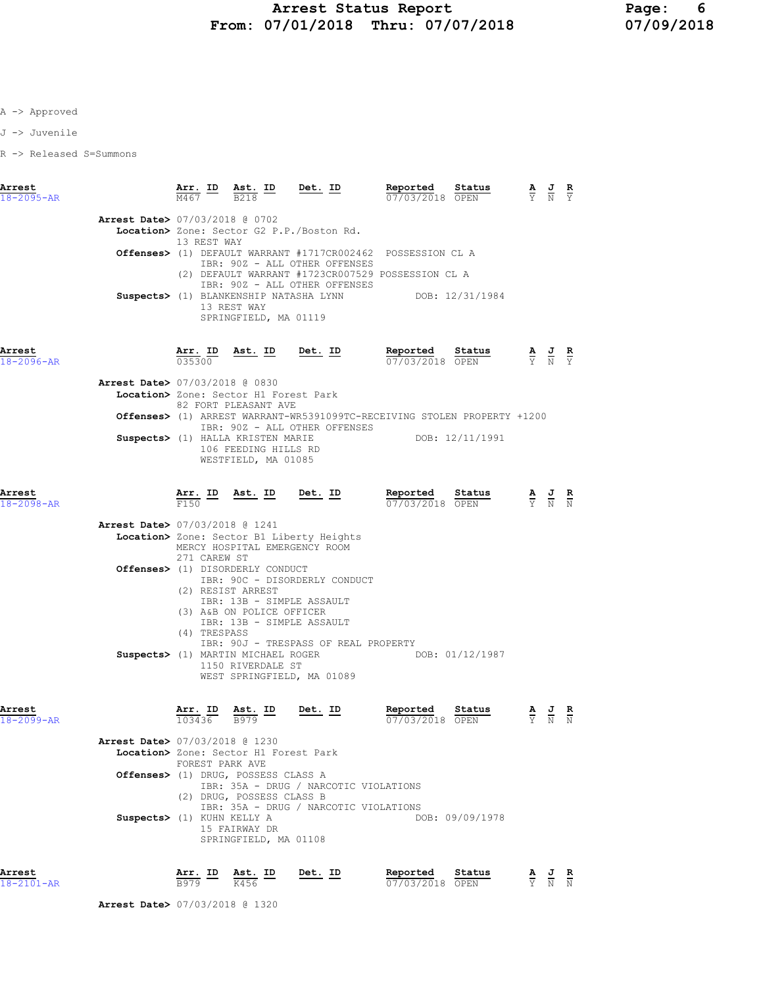J -> Juvenile

R -> Released S=Summons

| Arrest<br>$18 - 2095 - AR$ |                                          | M467            | Arr. ID Ast. ID<br><b>B218</b>                                                                                                               | <u>Det.</u> ID                                                                 | Reported<br>07/03/2018 OPEN                                                                                 | Status          |                                                                                                 | $\frac{\mathbf{A}}{\mathbf{Y}}$ $\frac{\mathbf{J}}{\mathbf{N}}$ $\frac{\mathbf{R}}{\mathbf{Y}}$ |               |
|----------------------------|------------------------------------------|-----------------|----------------------------------------------------------------------------------------------------------------------------------------------|--------------------------------------------------------------------------------|-------------------------------------------------------------------------------------------------------------|-----------------|-------------------------------------------------------------------------------------------------|-------------------------------------------------------------------------------------------------|---------------|
|                            | Arrest Date> 07/03/2018 @ 0702           | 13 REST WAY     |                                                                                                                                              | Location> Zone: Sector G2 P.P./Boston Rd.                                      |                                                                                                             |                 |                                                                                                 |                                                                                                 |               |
|                            |                                          |                 |                                                                                                                                              | IBR: 90Z - ALL OTHER OFFENSES                                                  | <b>Offenses&gt;</b> (1) DEFAULT WARRANT #1717CR002462 POSSESSION CL A                                       |                 |                                                                                                 |                                                                                                 |               |
|                            |                                          |                 | 13 REST WAY<br>SPRINGFIELD, MA 01119                                                                                                         | IBR: 90Z - ALL OTHER OFFENSES                                                  | (2) DEFAULT WARRANT #1723CR007529 POSSESSION CL A<br>Suspects> (1) BLANKENSHIP NATASHA LYNN DOB: 12/31/1984 |                 |                                                                                                 |                                                                                                 |               |
| Arrest<br>$18 - 2096 - AR$ |                                          | 035300          | Arr. ID Ast. ID Det. ID                                                                                                                      |                                                                                | <b>Reported</b> Status $\frac{A}{07/03/2018}$ OPEN $\frac{A}{Y}$ $\frac{J}{N}$ $\frac{R}{Y}$                |                 |                                                                                                 |                                                                                                 |               |
|                            | <b>Arrest Date&gt; 07/03/2018 @ 0830</b> |                 |                                                                                                                                              |                                                                                |                                                                                                             |                 |                                                                                                 |                                                                                                 |               |
|                            |                                          |                 | Location> Zone: Sector H1 Forest Park<br>82 FORT PLEASANT AVE                                                                                |                                                                                |                                                                                                             |                 |                                                                                                 |                                                                                                 |               |
|                            |                                          |                 |                                                                                                                                              |                                                                                | Offenses> (1) ARREST WARRANT-WR5391099TC-RECEIVING STOLEN PROPERTY +1200                                    |                 |                                                                                                 |                                                                                                 |               |
|                            |                                          |                 | 106 FEEDING HILLS RD<br>WESTFIELD, MA 01085                                                                                                  | IBR: 90Z - ALL OTHER OFFENSES<br>Suspects> (1) HALLA KRISTEN MARIE             |                                                                                                             | DOB: 12/11/1991 |                                                                                                 |                                                                                                 |               |
| Arrest<br>18-2098-AR       |                                          | Arr. ID<br>F150 | Ast. ID Det. ID                                                                                                                              |                                                                                | Reported<br>07/03/2018 OPEN                                                                                 | Status          | $\frac{\mathbf{A}}{\mathbf{Y}}$ $\frac{\mathbf{J}}{\mathbf{N}}$ $\frac{\mathbf{R}}{\mathbf{N}}$ |                                                                                                 |               |
|                            | <b>Arrest Date&gt; 07/03/2018 @ 1241</b> | 271 CAREW ST    | MERCY HOSPITAL EMERGENCY ROOM                                                                                                                | Location> Zone: Sector B1 Liberty Heights                                      |                                                                                                             |                 |                                                                                                 |                                                                                                 |               |
|                            |                                          |                 | Offenses> (1) DISORDERLY CONDUCT<br>(2) RESIST ARREST<br>IBR: 13B - SIMPLE ASSAULT<br>(3) A&B ON POLICE OFFICER<br>IBR: 13B - SIMPLE ASSAULT | IBR: 90C - DISORDERLY CONDUCT                                                  |                                                                                                             |                 |                                                                                                 |                                                                                                 |               |
|                            |                                          | (4) TRESPASS    | Suspects> (1) MARTIN MICHAEL ROGER<br>1150 RIVERDALE ST                                                                                      | IBR: 90J - TRESPASS OF REAL PROPERTY<br>WEST SPRINGFIELD, MA 01089             | DOB: 01/12/1987                                                                                             |                 |                                                                                                 |                                                                                                 |               |
| Arrest<br>18-2099-AR       |                                          | 103436          | Arr. ID Ast. ID<br>B979                                                                                                                      | Det. ID                                                                        | Reported<br>07/03/2018 OPEN                                                                                 | Status          |                                                                                                 | $\frac{\mathbf{A}}{\mathbf{Y}}$ $\frac{\mathbf{J}}{\mathbf{N}}$                                 |               |
|                            | Arrest Date> 07/03/2018 @ 1230           |                 |                                                                                                                                              |                                                                                |                                                                                                             |                 |                                                                                                 |                                                                                                 |               |
|                            |                                          | FOREST PARK AVE | Location> Zone: Sector H1 Forest Park                                                                                                        |                                                                                |                                                                                                             |                 |                                                                                                 |                                                                                                 |               |
|                            |                                          |                 | Offenses> (1) DRUG, POSSESS CLASS A<br>(2) DRUG, POSSESS CLASS B                                                                             | IBR: 35A - DRUG / NARCOTIC VIOLATIONS<br>IBR: 35A - DRUG / NARCOTIC VIOLATIONS |                                                                                                             |                 |                                                                                                 |                                                                                                 |               |
|                            | Suspects> (1) KUHN KELLY A               |                 | 15 FAIRWAY DR<br>SPRINGFIELD, MA 01108                                                                                                       |                                                                                |                                                                                                             | DOB: 09/09/1978 |                                                                                                 |                                                                                                 |               |
| Arrest<br>18-2101-AR       |                                          | Arr. ID<br>B979 | Ast. ID<br>K456                                                                                                                              | Det. ID                                                                        | Reported<br>07/03/2018 OPEN                                                                                 | Status          |                                                                                                 | $\frac{J}{N}$                                                                                   | $\frac{R}{N}$ |

Arrest Date> 07/03/2018 @ 1320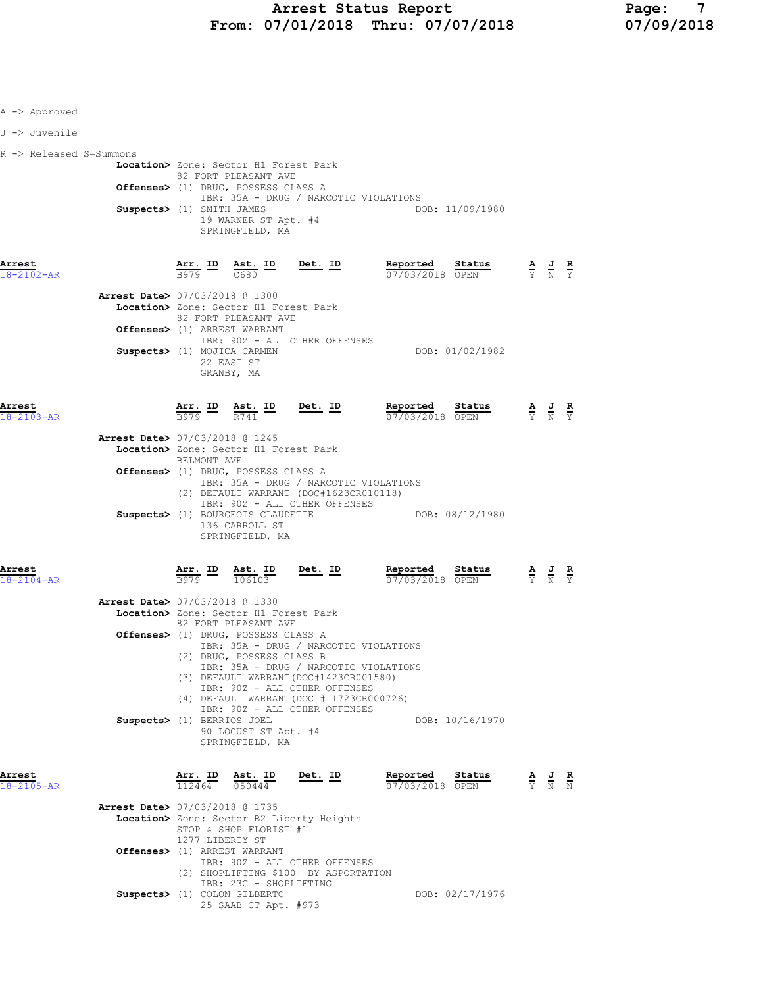| A -> Approved           |                                          |                              |                                                                                                                                                 |                                                                                                                                                                                                       |                                       |                                                                                                 |  |
|-------------------------|------------------------------------------|------------------------------|-------------------------------------------------------------------------------------------------------------------------------------------------|-------------------------------------------------------------------------------------------------------------------------------------------------------------------------------------------------------|---------------------------------------|-------------------------------------------------------------------------------------------------|--|
| J -> Juvenile           |                                          |                              |                                                                                                                                                 |                                                                                                                                                                                                       |                                       |                                                                                                 |  |
| R -> Released S=Summons | Suspects> (1) SMITH JAMES                |                              | Location> Zone: Sector H1 Forest Park<br>82 FORT PLEASANT AVE<br>Offenses> (1) DRUG, POSSESS CLASS A<br>19 WARNER ST Apt. #4<br>SPRINGFIELD, MA | IBR: 35A - DRUG / NARCOTIC VIOLATIONS                                                                                                                                                                 | DOB: 11/09/1980                       |                                                                                                 |  |
| Arrest<br>18-2102-AR    |                                          |                              |                                                                                                                                                 | $\frac{\texttt{Arr.}}{\texttt{B979}}$ ID $\frac{\texttt{Ast.}}{\texttt{C680}}$ ID Det. ID                                                                                                             | Reported Status<br>07/03/2018 OPEN    | $\frac{\mathbf{A}}{\mathbf{Y}}$ $\frac{\mathbf{J}}{\mathbf{N}}$ $\frac{\mathbf{R}}{\mathbf{Y}}$ |  |
|                         | <b>Arrest Date&gt; 07/03/2018 @ 1300</b> |                              | Location> Zone: Sector H1 Forest Park<br>82 FORT PLEASANT AVE<br>Offenses> (1) ARREST WARRANT                                                   |                                                                                                                                                                                                       |                                       |                                                                                                 |  |
|                         | Suspects> (1) MOJICA CARMEN              |                              | 22 EAST ST<br>GRANBY, MA                                                                                                                        | IBR: 90Z - ALL OTHER OFFENSES                                                                                                                                                                         | DOB: 01/02/1982                       |                                                                                                 |  |
| Arrest<br>18-2103-AR    |                                          |                              |                                                                                                                                                 | $\frac{\texttt{Arr. ID}}{\texttt{B979}}$ $\frac{\texttt{Ast. ID}}{\texttt{R741}}$ $\frac{\texttt{Det. ID}}{\texttt{Delta}}$                                                                           | Reported Status<br>07/03/2018 OPEN    | $\frac{A}{Y}$ $\frac{J}{N}$ $\frac{R}{Y}$                                                       |  |
|                         | Arrest Date> 07/03/2018 @ 1245           | BELMONT AVE                  | Location> Zone: Sector H1 Forest Park                                                                                                           |                                                                                                                                                                                                       |                                       |                                                                                                 |  |
|                         |                                          |                              | Offenses> (1) DRUG, POSSESS CLASS A                                                                                                             | IBR: 35A - DRUG / NARCOTIC VIOLATIONS<br>(2) DEFAULT WARRANT (DOC#1623CR010118)                                                                                                                       |                                       |                                                                                                 |  |
|                         |                                          |                              | Suspects> (1) BOURGEOIS CLAUDETTE<br>136 CARROLL ST<br>SPRINGFIELD, MA                                                                          | IBR: 90Z - ALL OTHER OFFENSES                                                                                                                                                                         | DOB: 08/12/1980                       |                                                                                                 |  |
| Arrest<br>18-2104-AR    |                                          |                              | $\frac{\texttt{Arr.}}{\texttt{B979}}$ $\frac{\texttt{ID}}{106103}$                                                                              | <u>Det. ID</u>                                                                                                                                                                                        | Reported<br>Status<br>07/03/2018 OPEN | $\frac{\mathbf{A}}{\mathbf{Y}}$ $\frac{\mathbf{J}}{\mathbf{N}}$ $\frac{\mathbf{R}}{\mathbf{Y}}$ |  |
|                         | Arrest Date> 07/03/2018 @ 1330           |                              | Location> Zone: Sector H1 Forest Park<br>82 FORT PLEASANT AVE<br>Offenses> (1) DRUG, POSSESS CLASS A                                            |                                                                                                                                                                                                       |                                       |                                                                                                 |  |
|                         |                                          |                              | (2) DRUG, POSSESS CLASS B                                                                                                                       | IBR: 35A - DRUG / NARCOTIC VIOLATIONS<br>IBR: 35A - DRUG / NARCOTIC VIOLATIONS<br>(3) DEFAULT WARRANT (DOC#1423CR001580)<br>IBR: 90Z - ALL OTHER OFFENSES<br>(4) DEFAULT WARRANT (DOC # 1723CR000726) |                                       |                                                                                                 |  |
|                         | Suspects> (1) BERRIOS JOEL               |                              | 90 LOCUST ST Apt. #4<br>SPRINGFIELD, MA                                                                                                         | IBR: 902 - ALL OTHER OFFENSES                                                                                                                                                                         | DOB: 10/16/1970                       |                                                                                                 |  |
| Arrest<br>18-2105-AR    |                                          | Arr. ID<br>$\frac{112464}{}$ | <u>Ast. ID</u><br>050444                                                                                                                        | <u>Det. ID</u>                                                                                                                                                                                        | Reported<br>Status<br>07/03/2018 OPEN | $\frac{\mathbf{A}}{\mathbf{Y}}$ $\frac{\mathbf{J}}{\mathbf{N}}$ $\frac{\mathbf{R}}{\mathbf{N}}$ |  |
|                         | Arrest Date> 07/03/2018 @ 1735           | 1277 LIBERTY ST              | STOP & SHOP FLORIST #1                                                                                                                          | Location> Zone: Sector B2 Liberty Heights                                                                                                                                                             |                                       |                                                                                                 |  |
|                         |                                          |                              | Offenses> (1) ARREST WARRANT<br>IBR: 23C - SHOPLIFTING                                                                                          | IBR: 90Z - ALL OTHER OFFENSES<br>(2) SHOPLIFTING \$100+ BY ASPORTATION                                                                                                                                |                                       |                                                                                                 |  |
|                         |                                          |                              | Suspects> (1) COLON GILBERTO<br>25 SAAB CT Apt. #973                                                                                            |                                                                                                                                                                                                       | DOB: 02/17/1976                       |                                                                                                 |  |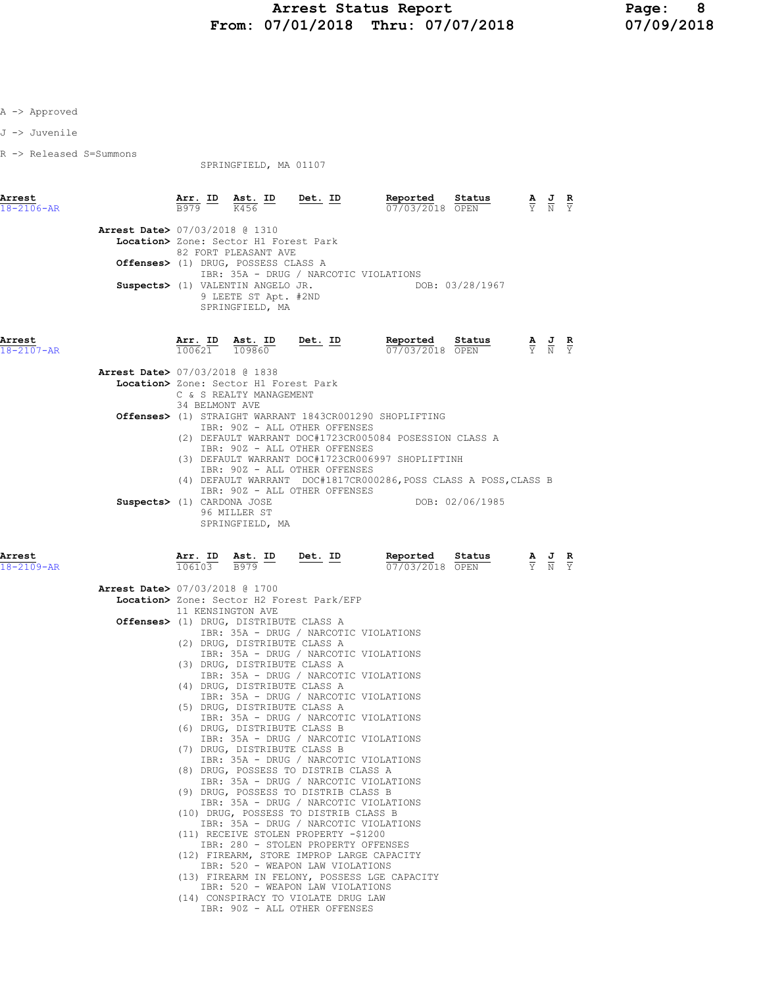J -> Juvenile

R -> Released S=Summons

SPRINGFIELD, MA 01107

| Arrest<br>18-2106-AR       |                                          | $\frac{\text{Arr.}}{\text{B979}}$ ID | Ast. ID<br>K456                                                              | <u>Det. ID</u>                                                                | Reported<br>07/03/2018 OPEN                                       | Status          | $\frac{1}{N}$                                                                                   | $rac{\mathbf{R}}{\Upsilon}$ |
|----------------------------|------------------------------------------|--------------------------------------|------------------------------------------------------------------------------|-------------------------------------------------------------------------------|-------------------------------------------------------------------|-----------------|-------------------------------------------------------------------------------------------------|-----------------------------|
|                            |                                          |                                      |                                                                              |                                                                               |                                                                   |                 |                                                                                                 |                             |
|                            | <b>Arrest Date&gt; 07/03/2018 @ 1310</b> |                                      |                                                                              |                                                                               |                                                                   |                 |                                                                                                 |                             |
|                            |                                          |                                      | Location> Zone: Sector H1 Forest Park                                        |                                                                               |                                                                   |                 |                                                                                                 |                             |
|                            |                                          |                                      | 82 FORT PLEASANT AVE<br>Offenses> (1) DRUG, POSSESS CLASS A                  |                                                                               |                                                                   |                 |                                                                                                 |                             |
|                            |                                          |                                      |                                                                              | IBR: 35A - DRUG / NARCOTIC VIOLATIONS                                         |                                                                   |                 |                                                                                                 |                             |
|                            |                                          |                                      | Suspects> (1) VALENTIN ANGELO JR.<br>9 LEETE ST Apt. #2ND<br>SPRINGFIELD, MA |                                                                               | DOB: 03/28/1967                                                   |                 |                                                                                                 |                             |
| Arrest<br>$18 - 2107 - AR$ |                                          | Arr. ID<br>100621                    | Ast. ID<br>109860                                                            | Det. ID                                                                       | Reported Status<br>07/03/2018 OPEN                                |                 | $\frac{\mathbf{A}}{\mathbf{Y}}$ $\frac{\mathbf{J}}{\mathbf{N}}$ $\frac{\mathbf{R}}{\mathbf{Y}}$ |                             |
|                            | <b>Arrest Date&gt; 07/03/2018 @ 1838</b> |                                      |                                                                              |                                                                               |                                                                   |                 |                                                                                                 |                             |
|                            |                                          |                                      | Location> Zone: Sector H1 Forest Park                                        |                                                                               |                                                                   |                 |                                                                                                 |                             |
|                            |                                          | 34 BELMONT AVE                       | C & S REALTY MANAGEMENT                                                      |                                                                               |                                                                   |                 |                                                                                                 |                             |
|                            |                                          |                                      |                                                                              |                                                                               | <b>Offenses&gt;</b> (1) STRAIGHT WARRANT 1843CR001290 SHOPLIFTING |                 |                                                                                                 |                             |
|                            |                                          |                                      |                                                                              | IBR: 90Z - ALL OTHER OFFENSES                                                 |                                                                   |                 |                                                                                                 |                             |
|                            |                                          |                                      |                                                                              | IBR: 90Z - ALL OTHER OFFENSES                                                 | (2) DEFAULT WARRANT DOC#1723CR005084 POSESSION CLASS A            |                 |                                                                                                 |                             |
|                            |                                          |                                      |                                                                              |                                                                               | (3) DEFAULT WARRANT DOC#1723CR006997 SHOPLIFTINH                  |                 |                                                                                                 |                             |
|                            |                                          |                                      |                                                                              | IBR: 90Z - ALL OTHER OFFENSES                                                 |                                                                   |                 |                                                                                                 |                             |
|                            |                                          |                                      |                                                                              |                                                                               | (4) DEFAULT WARRANT DOC#1817CR000286, POSS CLASS A POSS, CLASS B  |                 |                                                                                                 |                             |
|                            | Suspects> (1) CARDONA JOSE               |                                      |                                                                              | IBR: 90Z - ALL OTHER OFFENSES                                                 |                                                                   | DOB: 02/06/1985 |                                                                                                 |                             |
|                            |                                          |                                      | 96 MILLER ST<br>SPRINGFIELD, MA                                              |                                                                               |                                                                   |                 |                                                                                                 |                             |
| Arrest<br>18-2109-AR       |                                          | Arr. ID<br>106103                    | $\frac{\text{Ast.}}{\text{R979}}$ $\frac{\text{ID}}{\text{R979}}$<br>B979    | Det. ID                                                                       | Reported<br>07/03/2018 OPEN                                       | Status          | $\frac{\mathbf{A}}{\mathbf{Y}}$ $\frac{\mathbf{J}}{\mathbf{N}}$                                 |                             |
|                            |                                          |                                      |                                                                              |                                                                               |                                                                   |                 |                                                                                                 |                             |
|                            | <b>Arrest Date&gt; 07/03/2018 @ 1700</b> |                                      |                                                                              |                                                                               |                                                                   |                 |                                                                                                 |                             |
|                            |                                          |                                      |                                                                              | Location> Zone: Sector H2 Forest Park/EFP                                     |                                                                   |                 |                                                                                                 |                             |
|                            |                                          |                                      | 11 KENSINGTON AVE<br>Offenses> (1) DRUG, DISTRIBUTE CLASS A                  |                                                                               |                                                                   |                 |                                                                                                 |                             |
|                            |                                          |                                      |                                                                              | IBR: 35A - DRUG / NARCOTIC VIOLATIONS                                         |                                                                   |                 |                                                                                                 |                             |
|                            |                                          |                                      | (2) DRUG, DISTRIBUTE CLASS A                                                 |                                                                               |                                                                   |                 |                                                                                                 |                             |
|                            |                                          |                                      | (3) DRUG, DISTRIBUTE CLASS A                                                 | IBR: 35A - DRUG / NARCOTIC VIOLATIONS                                         |                                                                   |                 |                                                                                                 |                             |
|                            |                                          |                                      |                                                                              | IBR: 35A - DRUG / NARCOTIC VIOLATIONS                                         |                                                                   |                 |                                                                                                 |                             |
|                            |                                          |                                      | (4) DRUG, DISTRIBUTE CLASS A                                                 |                                                                               |                                                                   |                 |                                                                                                 |                             |
|                            |                                          |                                      | (5) DRUG, DISTRIBUTE CLASS A                                                 | IBR: 35A - DRUG / NARCOTIC VIOLATIONS                                         |                                                                   |                 |                                                                                                 |                             |
|                            |                                          |                                      |                                                                              | IBR: 35A - DRUG / NARCOTIC VIOLATIONS                                         |                                                                   |                 |                                                                                                 |                             |
|                            |                                          |                                      | (6) DRUG, DISTRIBUTE CLASS B                                                 |                                                                               |                                                                   |                 |                                                                                                 |                             |
|                            |                                          |                                      |                                                                              | IBR: 35A - DRUG / NARCOTIC VIOLATIONS                                         |                                                                   |                 |                                                                                                 |                             |
|                            |                                          |                                      | (7) DRUG, DISTRIBUTE CLASS B                                                 | IBR: 35A - DRUG / NARCOTIC VIOLATIONS                                         |                                                                   |                 |                                                                                                 |                             |
|                            |                                          |                                      |                                                                              | (8) DRUG, POSSESS TO DISTRIB CLASS A                                          |                                                                   |                 |                                                                                                 |                             |
|                            |                                          |                                      |                                                                              | IBR: 35A - DRUG / NARCOTIC VIOLATIONS                                         |                                                                   |                 |                                                                                                 |                             |
|                            |                                          |                                      |                                                                              | (9) DRUG, POSSESS TO DISTRIB CLASS B<br>IBR: 35A - DRUG / NARCOTIC VIOLATIONS |                                                                   |                 |                                                                                                 |                             |
|                            |                                          | $   -$                               | $\sim$ $\sim$ $\sim$ $\sim$                                                  | <b><u><del>n + 0 mn + n</del></u></b>                                         |                                                                   |                 |                                                                                                 |                             |

- (10) DRUG, POSSESS TO DISTRIB CLASS B IBR: 35A - DRUG / NARCOTIC VIOLATIONS (11) RECEIVE STOLEN PROPERTY -\$1200
- IBR: 280 STOLEN PROPERTY OFFENSES
- (12) FIREARM, STORE IMPROP LARGE CAPACITY
- IBR: 520 WEAPON LAW VIOLATIONS (13) FIREARM IN FELONY, POSSESS LGE CAPACITY
- IBR: 520 WEAPON LAW VIOLATIONS (14) CONSPIRACY TO VIOLATE DRUG LAW
	- IBR: 90Z ALL OTHER OFFENSES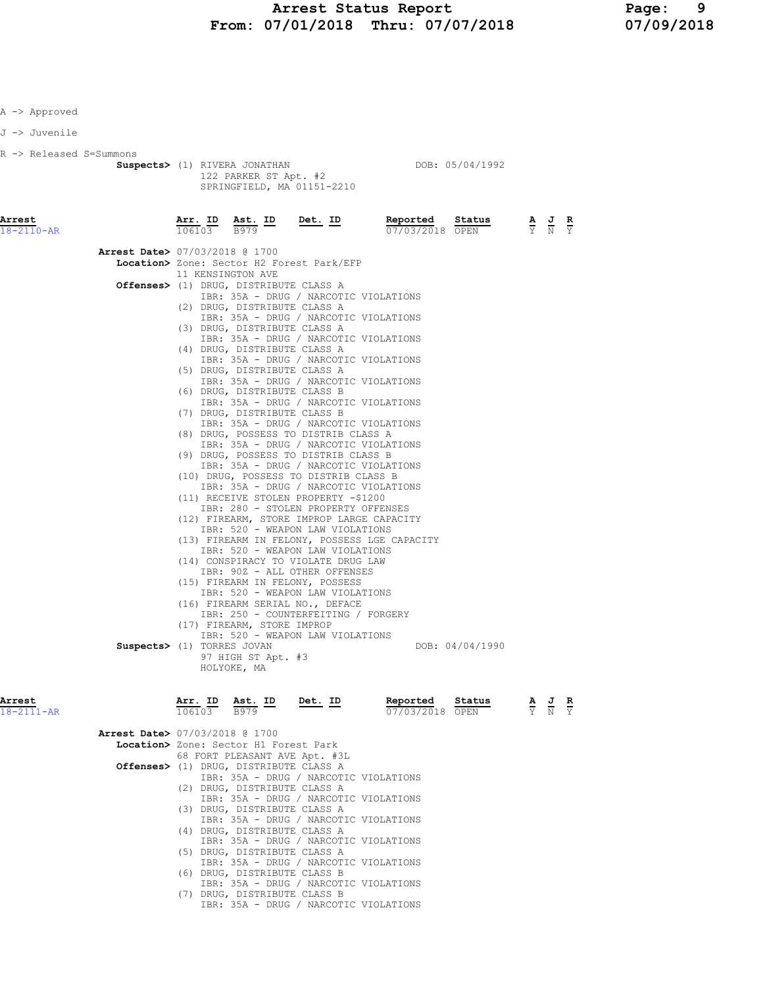| Approved |  |
|----------|--|
|----------|--|

J -> Juvenile

R -> Released S=Summons

Suspects> (1) RIVERA JONATHAN DOB: 05/04/1992 122 PARKER ST Apt. #2 SPRINGFIELD, MA 01151-2210

| Arrest<br>18-2110-AR |                                          | Arr. ID<br>106103 | Ast. ID<br>B979                        | Det. ID                                                                        | Reported<br>07/03/2018 OPEN | Status          | А<br>Ÿ                          | $\frac{1}{N}$ | $rac{\mathbf{R}}{\mathbf{Y}}$ |
|----------------------|------------------------------------------|-------------------|----------------------------------------|--------------------------------------------------------------------------------|-----------------------------|-----------------|---------------------------------|---------------|-------------------------------|
|                      |                                          |                   |                                        |                                                                                |                             |                 |                                 |               |                               |
|                      | <b>Arrest Date&gt; 07/03/2018 @ 1700</b> |                   |                                        |                                                                                |                             |                 |                                 |               |                               |
|                      |                                          |                   |                                        | Location> Zone: Sector H2 Forest Park/EFP                                      |                             |                 |                                 |               |                               |
|                      |                                          | 11 KENSINGTON AVE |                                        |                                                                                |                             |                 |                                 |               |                               |
|                      |                                          |                   | Offenses> (1) DRUG, DISTRIBUTE CLASS A |                                                                                |                             |                 |                                 |               |                               |
|                      |                                          |                   |                                        | IBR: 35A - DRUG / NARCOTIC VIOLATIONS                                          |                             |                 |                                 |               |                               |
|                      |                                          |                   | (2) DRUG, DISTRIBUTE CLASS A           |                                                                                |                             |                 |                                 |               |                               |
|                      |                                          |                   |                                        | IBR: 35A - DRUG / NARCOTIC VIOLATIONS                                          |                             |                 |                                 |               |                               |
|                      |                                          |                   | (3) DRUG, DISTRIBUTE CLASS A           | IBR: 35A - DRUG / NARCOTIC VIOLATIONS                                          |                             |                 |                                 |               |                               |
|                      |                                          |                   | (4) DRUG, DISTRIBUTE CLASS A           |                                                                                |                             |                 |                                 |               |                               |
|                      |                                          |                   |                                        | IBR: 35A - DRUG / NARCOTIC VIOLATIONS                                          |                             |                 |                                 |               |                               |
|                      |                                          |                   | (5) DRUG, DISTRIBUTE CLASS A           |                                                                                |                             |                 |                                 |               |                               |
|                      |                                          |                   |                                        | IBR: 35A - DRUG / NARCOTIC VIOLATIONS                                          |                             |                 |                                 |               |                               |
|                      |                                          |                   | (6) DRUG, DISTRIBUTE CLASS B           |                                                                                |                             |                 |                                 |               |                               |
|                      |                                          |                   |                                        | IBR: 35A - DRUG / NARCOTIC VIOLATIONS                                          |                             |                 |                                 |               |                               |
|                      |                                          |                   | (7) DRUG, DISTRIBUTE CLASS B           |                                                                                |                             |                 |                                 |               |                               |
|                      |                                          |                   |                                        | IBR: 35A - DRUG / NARCOTIC VIOLATIONS                                          |                             |                 |                                 |               |                               |
|                      |                                          |                   |                                        | (8) DRUG, POSSESS TO DISTRIB CLASS A                                           |                             |                 |                                 |               |                               |
|                      |                                          |                   |                                        | IBR: 35A - DRUG / NARCOTIC VIOLATIONS                                          |                             |                 |                                 |               |                               |
|                      |                                          |                   |                                        | (9) DRUG, POSSESS TO DISTRIB CLASS B                                           |                             |                 |                                 |               |                               |
|                      |                                          |                   |                                        | IBR: 35A - DRUG / NARCOTIC VIOLATIONS                                          |                             |                 |                                 |               |                               |
|                      |                                          |                   |                                        | (10) DRUG, POSSESS TO DISTRIB CLASS B<br>IBR: 35A - DRUG / NARCOTIC VIOLATIONS |                             |                 |                                 |               |                               |
|                      |                                          |                   |                                        | (11) RECEIVE STOLEN PROPERTY -\$1200                                           |                             |                 |                                 |               |                               |
|                      |                                          |                   |                                        | IBR: 280 - STOLEN PROPERTY OFFENSES                                            |                             |                 |                                 |               |                               |
|                      |                                          |                   |                                        | (12) FIREARM, STORE IMPROP LARGE CAPACITY                                      |                             |                 |                                 |               |                               |
|                      |                                          |                   |                                        | IBR: 520 - WEAPON LAW VIOLATIONS                                               |                             |                 |                                 |               |                               |
|                      |                                          |                   |                                        | (13) FIREARM IN FELONY, POSSESS LGE CAPACITY                                   |                             |                 |                                 |               |                               |
|                      |                                          |                   |                                        | IBR: 520 - WEAPON LAW VIOLATIONS                                               |                             |                 |                                 |               |                               |
|                      |                                          |                   |                                        | (14) CONSPIRACY TO VIOLATE DRUG LAW                                            |                             |                 |                                 |               |                               |
|                      |                                          |                   |                                        | IBR: 90Z - ALL OTHER OFFENSES                                                  |                             |                 |                                 |               |                               |
|                      |                                          |                   |                                        | (15) FIREARM IN FELONY, POSSESS                                                |                             |                 |                                 |               |                               |
|                      |                                          |                   |                                        | IBR: 520 - WEAPON LAW VIOLATIONS                                               |                             |                 |                                 |               |                               |
|                      |                                          |                   |                                        | (16) FIREARM SERIAL NO., DEFACE                                                |                             |                 |                                 |               |                               |
|                      |                                          |                   |                                        | IBR: 250 - COUNTERFEITING / FORGERY                                            |                             |                 |                                 |               |                               |
|                      |                                          |                   | (17) FIREARM, STORE IMPROP             | IBR: 520 - WEAPON LAW VIOLATIONS                                               |                             |                 |                                 |               |                               |
|                      | Suspects> (1) TORRES JOVAN               |                   |                                        |                                                                                |                             | DOB: 04/04/1990 |                                 |               |                               |
|                      |                                          |                   | 97 HIGH ST Apt. #3                     |                                                                                |                             |                 |                                 |               |                               |
|                      |                                          |                   | HOLYOKE, MA                            |                                                                                |                             |                 |                                 |               |                               |
|                      |                                          |                   |                                        |                                                                                |                             |                 |                                 |               |                               |
|                      |                                          |                   |                                        |                                                                                |                             |                 |                                 |               |                               |
| Arrest               |                                          | Arr. ID           | Ast. ID                                | <u>Det.</u> ID                                                                 | Reported                    | Status          | $\frac{\mathbf{A}}{\mathbf{Y}}$ | $\frac{1}{N}$ |                               |
| 18-2111-AR           |                                          | 106103            | B979                                   |                                                                                | 07/03/2018 OPEN             |                 |                                 |               |                               |
|                      | <b>Arrest Date&gt; 07/03/2018 @ 1700</b> |                   |                                        |                                                                                |                             |                 |                                 |               |                               |
|                      |                                          |                   | Location> Zone: Sector H1 Forest Park  |                                                                                |                             |                 |                                 |               |                               |
|                      |                                          |                   | 68 FORT PLEASANT AVE Apt. #3L          |                                                                                |                             |                 |                                 |               |                               |
|                      |                                          |                   | Offenses> (1) DRUG, DISTRIBUTE CLASS A |                                                                                |                             |                 |                                 |               |                               |
|                      |                                          |                   |                                        |                                                                                |                             |                 |                                 |               |                               |

IBR: 35A - DRUG / NARCOTIC VIOLATIONS

IBR: 35A - DRUG / NARCOTIC VIOLATIONS

IBR: 35A - DRUG / NARCOTIC VIOLATIONS

IBR: 35A - DRUG / NARCOTIC VIOLATIONS

IBR: 35A - DRUG / NARCOTIC VIOLATIONS

IBR: 35A - DRUG / NARCOTIC VIOLATIONS

IBR: 35A - DRUG / NARCOTIC VIOLATIONS

(2) DRUG, DISTRIBUTE CLASS A

(3) DRUG, DISTRIBUTE CLASS A

(4) DRUG, DISTRIBUTE CLASS A

(5) DRUG, DISTRIBUTE CLASS A

(6) DRUG, DISTRIBUTE CLASS B

(7) DRUG, DISTRIBUTE CLASS B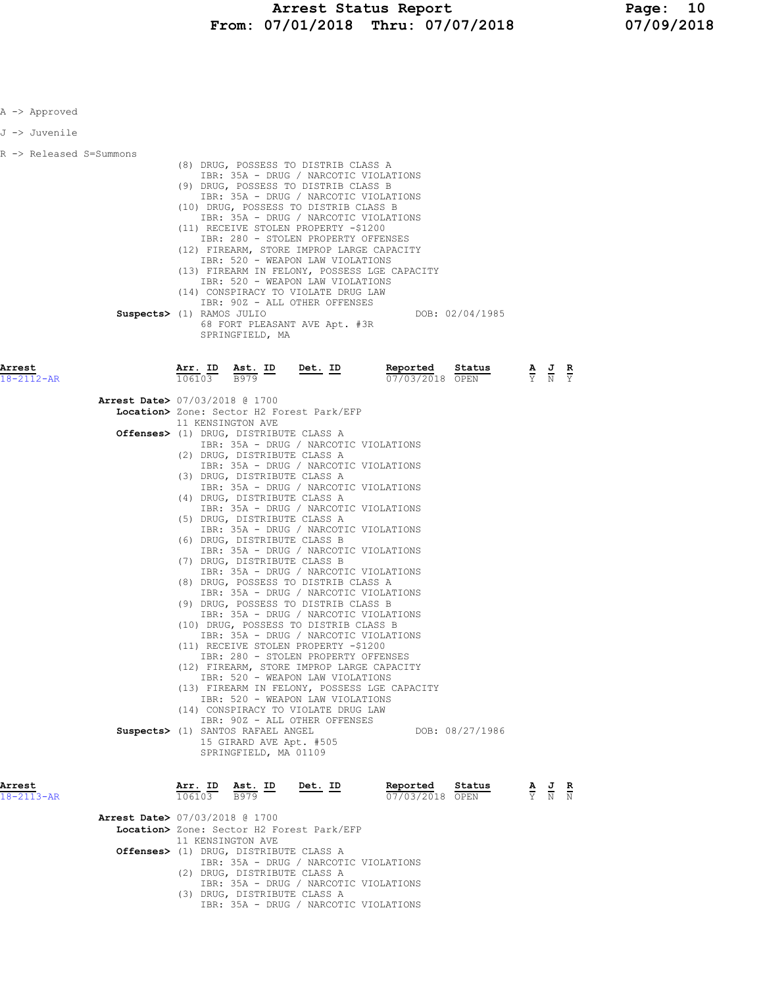| A -> Approved              |                                          |                   |                                                                                                           |                                                                                                                                                                                                                                                                                                                                                                                                                                                                                                                                                               |                                              |                 |                                                                                                 |                           |
|----------------------------|------------------------------------------|-------------------|-----------------------------------------------------------------------------------------------------------|---------------------------------------------------------------------------------------------------------------------------------------------------------------------------------------------------------------------------------------------------------------------------------------------------------------------------------------------------------------------------------------------------------------------------------------------------------------------------------------------------------------------------------------------------------------|----------------------------------------------|-----------------|-------------------------------------------------------------------------------------------------|---------------------------|
| J -> Juvenile              |                                          |                   |                                                                                                           |                                                                                                                                                                                                                                                                                                                                                                                                                                                                                                                                                               |                                              |                 |                                                                                                 |                           |
| R -> Released S=Summons    | Suspects> (1) RAMOS JULIO                |                   | SPRINGFIELD, MA                                                                                           | (8) DRUG, POSSESS TO DISTRIB CLASS A<br>IBR: 35A - DRUG / NARCOTIC VIOLATIONS<br>(9) DRUG, POSSESS TO DISTRIB CLASS B<br>IBR: 35A - DRUG / NARCOTIC VIOLATIONS<br>(10) DRUG, POSSESS TO DISTRIB CLASS B<br>IBR: 35A - DRUG / NARCOTIC VIOLATIONS<br>(11) RECEIVE STOLEN PROPERTY -\$1200<br>IBR: 280 - STOLEN PROPERTY OFFENSES<br>(12) FIREARM, STORE IMPROP LARGE CAPACITY<br>IBR: 520 - WEAPON LAW VIOLATIONS<br>IBR: 520 - WEAPON LAW VIOLATIONS<br>(14) CONSPIRACY TO VIOLATE DRUG LAW<br>IBR: 90Z - ALL OTHER OFFENSES<br>68 FORT PLEASANT AVE Apt. #3R | (13) FIREARM IN FELONY, POSSESS LGE CAPACITY | DOB: 02/04/1985 |                                                                                                 |                           |
| Arrest<br>18-2112-AR       |                                          | Arr. ID<br>106103 | <u>Ast. ID</u><br>B979                                                                                    | <u>Det. ID</u>                                                                                                                                                                                                                                                                                                                                                                                                                                                                                                                                                | Reported<br>07/03/2018 OPEN                  | Status          | $\frac{\mathbf{A}}{\mathbf{Y}}$ $\frac{\mathbf{J}}{\mathbf{N}}$                                 | $rac{\mathbf{R}}{\gamma}$ |
|                            | <b>Arrest Date&gt;</b> 07/03/2018 @ 1700 |                   |                                                                                                           | Location> Zone: Sector H2 Forest Park/EFP                                                                                                                                                                                                                                                                                                                                                                                                                                                                                                                     |                                              |                 |                                                                                                 |                           |
|                            |                                          |                   | 11 KENSINGTON AVE<br><b>Offenses&gt;</b> (1) DRUG, DISTRIBUTE CLASS A                                     |                                                                                                                                                                                                                                                                                                                                                                                                                                                                                                                                                               |                                              |                 |                                                                                                 |                           |
|                            |                                          |                   | (2) DRUG, DISTRIBUTE CLASS A                                                                              | IBR: 35A - DRUG / NARCOTIC VIOLATIONS<br>IBR: 35A - DRUG / NARCOTIC VIOLATIONS                                                                                                                                                                                                                                                                                                                                                                                                                                                                                |                                              |                 |                                                                                                 |                           |
|                            |                                          |                   | (3) DRUG, DISTRIBUTE CLASS A                                                                              | IBR: 35A - DRUG / NARCOTIC VIOLATIONS                                                                                                                                                                                                                                                                                                                                                                                                                                                                                                                         |                                              |                 |                                                                                                 |                           |
|                            |                                          |                   | (4) DRUG, DISTRIBUTE CLASS A<br>(5) DRUG, DISTRIBUTE CLASS A                                              | IBR: 35A - DRUG / NARCOTIC VIOLATIONS                                                                                                                                                                                                                                                                                                                                                                                                                                                                                                                         |                                              |                 |                                                                                                 |                           |
|                            |                                          |                   | (6) DRUG, DISTRIBUTE CLASS B                                                                              | IBR: 35A - DRUG / NARCOTIC VIOLATIONS                                                                                                                                                                                                                                                                                                                                                                                                                                                                                                                         |                                              |                 |                                                                                                 |                           |
|                            |                                          |                   | (7) DRUG, DISTRIBUTE CLASS B                                                                              | IBR: 35A - DRUG / NARCOTIC VIOLATIONS                                                                                                                                                                                                                                                                                                                                                                                                                                                                                                                         |                                              |                 |                                                                                                 |                           |
|                            |                                          |                   |                                                                                                           | IBR: 35A - DRUG / NARCOTIC VIOLATIONS<br>(8) DRUG, POSSESS TO DISTRIB CLASS A<br>IBR: 35A - DRUG / NARCOTIC VIOLATIONS                                                                                                                                                                                                                                                                                                                                                                                                                                        |                                              |                 |                                                                                                 |                           |
|                            |                                          |                   |                                                                                                           | (9) DRUG, POSSESS TO DISTRIB CLASS B<br>IBR: 35A - DRUG / NARCOTIC VIOLATIONS                                                                                                                                                                                                                                                                                                                                                                                                                                                                                 |                                              |                 |                                                                                                 |                           |
|                            |                                          |                   |                                                                                                           | (10) DRUG, POSSESS TO DISTRIB CLASS B<br>IBR: 35A - DRUG / NARCOTIC VIOLATIONS                                                                                                                                                                                                                                                                                                                                                                                                                                                                                |                                              |                 |                                                                                                 |                           |
|                            |                                          |                   |                                                                                                           | (11) RECEIVE STOLEN PROPERTY -\$1200<br>IBR: 280 - STOLEN PROPERTY OFFENSES<br>(12) FIREARM, STORE IMPROP LARGE CAPACITY                                                                                                                                                                                                                                                                                                                                                                                                                                      |                                              |                 |                                                                                                 |                           |
|                            |                                          |                   |                                                                                                           | IBR: 520 - WEAPON LAW VIOLATIONS                                                                                                                                                                                                                                                                                                                                                                                                                                                                                                                              | (13) FIREARM IN FELONY, POSSESS LGE CAPACITY |                 |                                                                                                 |                           |
|                            |                                          |                   |                                                                                                           | IBR: 520 - WEAPON LAW VIOLATIONS<br>(14) CONSPIRACY TO VIOLATE DRUG LAW<br>IBR: 90Z - ALL OTHER OFFENSES                                                                                                                                                                                                                                                                                                                                                                                                                                                      |                                              |                 |                                                                                                 |                           |
|                            |                                          |                   | Suspects> (1) SANTOS RAFAEL ANGEL<br>15 GIRARD AVE Apt. #505<br>SPRINGFIELD, MA 01109                     |                                                                                                                                                                                                                                                                                                                                                                                                                                                                                                                                                               |                                              | DOB: 08/27/1986 |                                                                                                 |                           |
| Arrest<br>$18 - 2113 - AR$ |                                          |                   | $\frac{\texttt{Arr.}}{106103}$ $\frac{\texttt{ Ast.}}{\texttt{B979}}$ $\frac{\texttt{ID}}{\texttt{D979}}$ | Det. ID                                                                                                                                                                                                                                                                                                                                                                                                                                                                                                                                                       | Reported<br>07/03/2018 OPEN                  | Status          | $\frac{\mathbf{A}}{\mathbf{Y}}$ $\frac{\mathbf{J}}{\mathbf{N}}$ $\frac{\mathbf{R}}{\mathbf{N}}$ |                           |
|                            | Arrest Date> 07/03/2018 @ 1700           |                   |                                                                                                           | Location> Zone: Sector H2 Forest Park/EFP                                                                                                                                                                                                                                                                                                                                                                                                                                                                                                                     |                                              |                 |                                                                                                 |                           |
|                            |                                          |                   | 11 KENSINGTON AVE<br><b>Offenses&gt;</b> (1) DRUG, DISTRIBUTE CLASS A                                     |                                                                                                                                                                                                                                                                                                                                                                                                                                                                                                                                                               |                                              |                 |                                                                                                 |                           |
|                            |                                          |                   | (2) DRUG, DISTRIBUTE CLASS A                                                                              | IBR: 35A - DRUG / NARCOTIC VIOLATIONS                                                                                                                                                                                                                                                                                                                                                                                                                                                                                                                         |                                              |                 |                                                                                                 |                           |

IBR: 35A - DRUG / NARCOTIC VIOLATIONS

IBR: 35A - DRUG / NARCOTIC VIOLATIONS

(3) DRUG, DISTRIBUTE CLASS A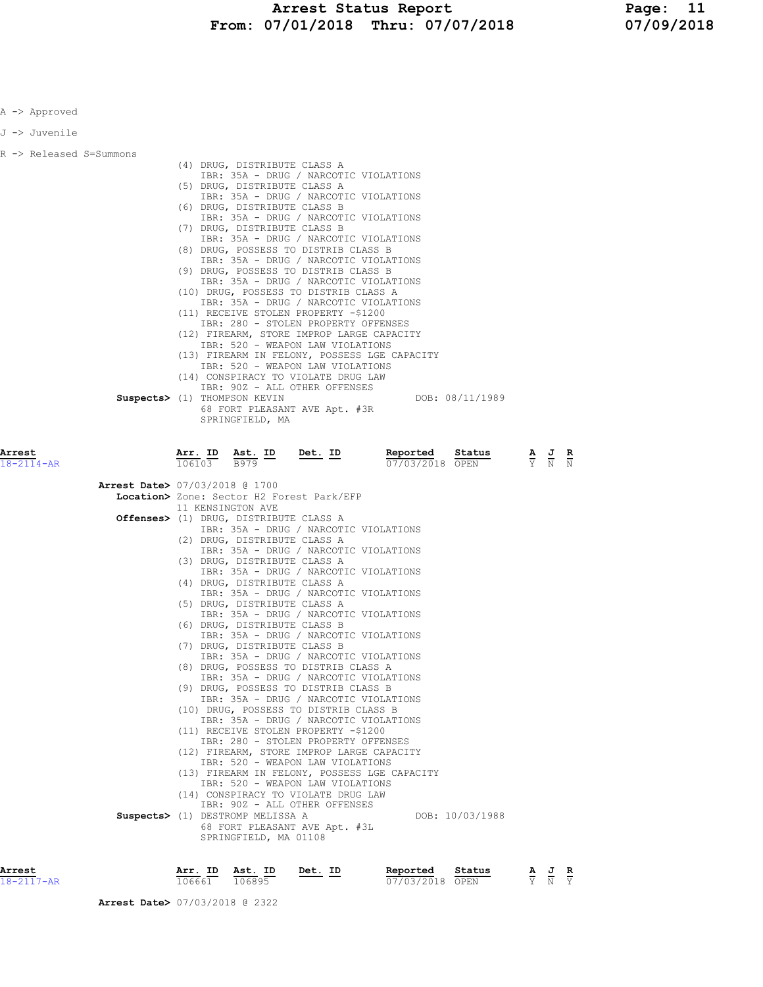| A -> Approved           |                                                                                                                                                                                                                                                                                                                                                                                                                                                                                                                                                                                                                                                                                                                                                                                                                                                                                                                                                                                                                                                                                                                                                                                                                                                                                                                                                                                                                                                                                                                               |
|-------------------------|-------------------------------------------------------------------------------------------------------------------------------------------------------------------------------------------------------------------------------------------------------------------------------------------------------------------------------------------------------------------------------------------------------------------------------------------------------------------------------------------------------------------------------------------------------------------------------------------------------------------------------------------------------------------------------------------------------------------------------------------------------------------------------------------------------------------------------------------------------------------------------------------------------------------------------------------------------------------------------------------------------------------------------------------------------------------------------------------------------------------------------------------------------------------------------------------------------------------------------------------------------------------------------------------------------------------------------------------------------------------------------------------------------------------------------------------------------------------------------------------------------------------------------|
| J -> Juvenile           |                                                                                                                                                                                                                                                                                                                                                                                                                                                                                                                                                                                                                                                                                                                                                                                                                                                                                                                                                                                                                                                                                                                                                                                                                                                                                                                                                                                                                                                                                                                               |
| R -> Released S=Summons | (4) DRUG, DISTRIBUTE CLASS A<br>IBR: 35A - DRUG / NARCOTIC VIOLATIONS<br>(5) DRUG, DISTRIBUTE CLASS A<br>IBR: 35A - DRUG / NARCOTIC VIOLATIONS<br>(6) DRUG, DISTRIBUTE CLASS B<br>IBR: 35A - DRUG / NARCOTIC VIOLATIONS<br>(7) DRUG, DISTRIBUTE CLASS B<br>IBR: 35A - DRUG / NARCOTIC VIOLATIONS<br>(8) DRUG, POSSESS TO DISTRIB CLASS B<br>IBR: 35A - DRUG / NARCOTIC VIOLATIONS<br>(9) DRUG, POSSESS TO DISTRIB CLASS B<br>IBR: 35A - DRUG / NARCOTIC VIOLATIONS<br>(10) DRUG, POSSESS TO DISTRIB CLASS A<br>IBR: 35A - DRUG / NARCOTIC VIOLATIONS<br>(11) RECEIVE STOLEN PROPERTY -\$1200<br>IBR: 280 - STOLEN PROPERTY OFFENSES<br>(12) FIREARM, STORE IMPROP LARGE CAPACITY<br>IBR: 520 - WEAPON LAW VIOLATIONS<br>(13) FIREARM IN FELONY, POSSESS LGE CAPACITY<br>IBR: 520 - WEAPON LAW VIOLATIONS<br>(14) CONSPIRACY TO VIOLATE DRUG LAW<br>IBR: 90Z - ALL OTHER OFFENSES<br>Suspects> (1) THOMPSON KEVIN<br>DOB: 08/11/1989<br>68 FORT PLEASANT AVE Apt. #3R<br>SPRINGFIELD, MA                                                                                                                                                                                                                                                                                                                                                                                                                                                                                                                                       |
| Arrest<br>18-2114-AR    | Arr. ID<br>Ast. ID<br>Det. ID<br>Reported<br>Status<br>$\frac{\mathbf{A}}{\mathbf{Y}}$ $\frac{\mathbf{J}}{\mathbf{N}}$<br>B979<br>106103<br>07/03/2018 OPEN<br><b>Arrest Date&gt;</b> 07/03/2018 @ 1700<br>Location> Zone: Sector H2 Forest Park/EFP<br>11 KENSINGTON AVE<br><b>Offenses&gt;</b> (1) DRUG, DISTRIBUTE CLASS A<br>IBR: 35A - DRUG / NARCOTIC VIOLATIONS<br>(2) DRUG, DISTRIBUTE CLASS A<br>IBR: 35A - DRUG / NARCOTIC VIOLATIONS<br>(3) DRUG, DISTRIBUTE CLASS A<br>IBR: 35A - DRUG / NARCOTIC VIOLATIONS<br>(4) DRUG, DISTRIBUTE CLASS A<br>IBR: 35A - DRUG / NARCOTIC VIOLATIONS<br>(5) DRUG, DISTRIBUTE CLASS A<br>IBR: 35A - DRUG / NARCOTIC VIOLATIONS<br>(6) DRUG, DISTRIBUTE CLASS B<br>IBR: 35A - DRUG / NARCOTIC VIOLATIONS<br>(7) DRUG, DISTRIBUTE CLASS B<br>IBR: 35A - DRUG / NARCOTIC VIOLATIONS<br>(8) DRUG, POSSESS TO DISTRIB CLASS A<br>IBR: 35A - DRUG / NARCOTIC VIOLATIONS<br>(9) DRUG, POSSESS TO DISTRIB CLASS B<br>IBR: 35A - DRUG / NARCOTIC VIOLATIONS<br>(10) DRUG, POSSESS TO DISTRIB CLASS B<br>IBR: 35A - DRUG / NARCOTIC VIOLATIONS<br>(11) RECEIVE STOLEN PROPERTY -\$1200<br>IBR: 280 - STOLEN PROPERTY OFFENSES<br>(12) FIREARM, STORE IMPROP LARGE CAPACITY<br>IBR: 520 - WEAPON LAW VIOLATIONS<br>(13) FIREARM IN FELONY, POSSESS LGE CAPACITY<br>IBR: 520 - WEAPON LAW VIOLATIONS<br>(14) CONSPIRACY TO VIOLATE DRUG LAW<br>IBR: 90Z - ALL OTHER OFFENSES<br>Suspects> (1) DESTROMP MELISSA A<br>DOB: 10/03/1988<br>68 FORT PLEASANT AVE Apt. #3L<br>SPRINGFIELD, MA 01108 |
|                         |                                                                                                                                                                                                                                                                                                                                                                                                                                                                                                                                                                                                                                                                                                                                                                                                                                                                                                                                                                                                                                                                                                                                                                                                                                                                                                                                                                                                                                                                                                                               |

18-2117-AR 106661 106895 07/03/2018 OPEN Y N Y

Arrest Date> 07/03/2018 @ 2322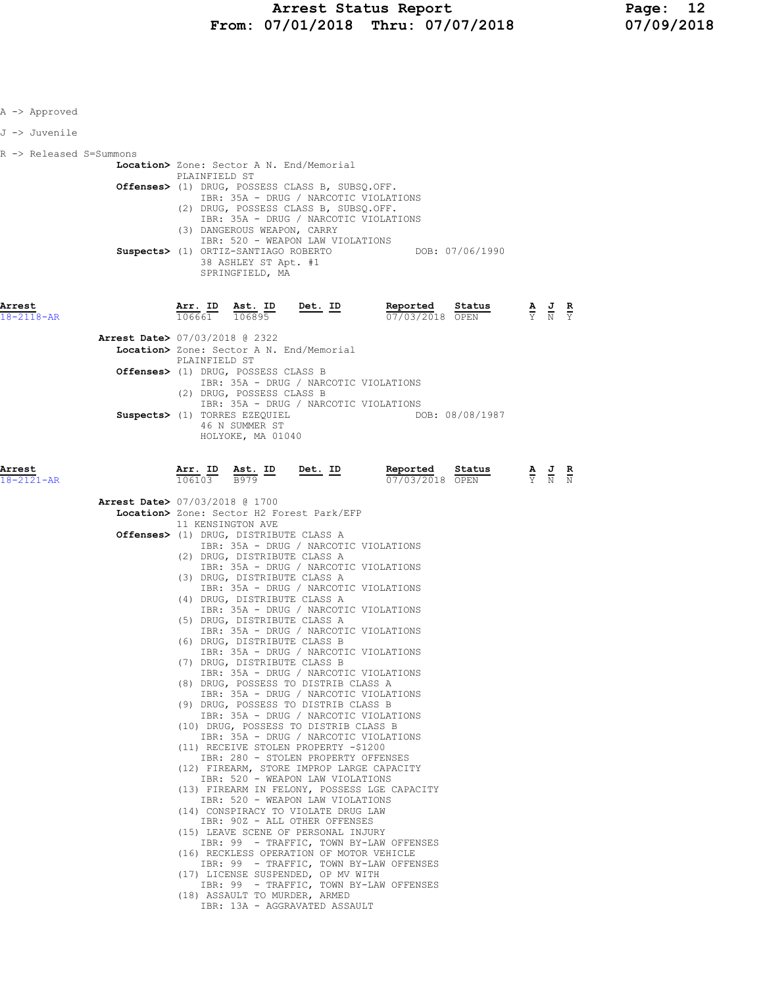| A -> Approved           |                                          |               |                                                                       |                                                                                                                         |                                                      |                 |                                                                                                       |  |
|-------------------------|------------------------------------------|---------------|-----------------------------------------------------------------------|-------------------------------------------------------------------------------------------------------------------------|------------------------------------------------------|-----------------|-------------------------------------------------------------------------------------------------------|--|
| J -> Juvenile           |                                          |               |                                                                       |                                                                                                                         |                                                      |                 |                                                                                                       |  |
| R -> Released S=Summons |                                          |               |                                                                       |                                                                                                                         |                                                      |                 |                                                                                                       |  |
|                         |                                          | PLAINFIELD ST |                                                                       | Location> Zone: Sector A N. End/Memorial                                                                                |                                                      |                 |                                                                                                       |  |
|                         |                                          |               |                                                                       | Offenses> (1) DRUG, POSSESS CLASS B, SUBSQ.OFF.<br>IBR: 35A - DRUG / NARCOTIC VIOLATIONS                                |                                                      |                 |                                                                                                       |  |
|                         |                                          |               |                                                                       | (2) DRUG, POSSESS CLASS B, SUBSQ.OFF.<br>IBR: 35A - DRUG / NARCOTIC VIOLATIONS                                          |                                                      |                 |                                                                                                       |  |
|                         |                                          |               | (3) DANGEROUS WEAPON, CARRY                                           | IBR: 520 - WEAPON LAW VIOLATIONS                                                                                        |                                                      |                 |                                                                                                       |  |
|                         |                                          |               | 38 ASHLEY ST Apt. #1                                                  |                                                                                                                         | Suspects> (1) ORTIZ-SANTIAGO ROBERTO DOB: 07/06/1990 |                 |                                                                                                       |  |
|                         |                                          |               | SPRINGFIELD, MA                                                       |                                                                                                                         |                                                      |                 |                                                                                                       |  |
|                         |                                          |               |                                                                       |                                                                                                                         |                                                      |                 |                                                                                                       |  |
| Arrest<br>18-2118-AR    |                                          |               |                                                                       | $\frac{\texttt{Arr. ID}}{106661}$ $\frac{\texttt{ Ast. ID}}{106895}$ $\frac{\texttt{Det. ID}}{106661}$                  | Reported<br>07/03/2018 OPEN                          | Status          | $\frac{\mathbf{A}}{\overline{Y}}$ $\frac{\mathbf{J}}{\overline{N}}$ $\frac{\mathbf{R}}{\overline{Y}}$ |  |
|                         | <b>Arrest Date&gt; 07/03/2018 @ 2322</b> |               |                                                                       |                                                                                                                         |                                                      |                 |                                                                                                       |  |
|                         |                                          | PLAINFIELD ST |                                                                       | Location> Zone: Sector A N. End/Memorial                                                                                |                                                      |                 |                                                                                                       |  |
|                         |                                          |               | Offenses> (1) DRUG, POSSESS CLASS B                                   | IBR: 35A - DRUG / NARCOTIC VIOLATIONS                                                                                   |                                                      |                 |                                                                                                       |  |
|                         |                                          |               | (2) DRUG, POSSESS CLASS B                                             | IBR: 35A - DRUG / NARCOTIC VIOLATIONS                                                                                   |                                                      |                 |                                                                                                       |  |
|                         |                                          |               | Suspects> (1) TORRES EZEQUIEL<br>46 N SUMMER ST                       |                                                                                                                         |                                                      | DOB: 08/08/1987 |                                                                                                       |  |
|                         |                                          |               | HOLYOKE, MA 01040                                                     |                                                                                                                         |                                                      |                 |                                                                                                       |  |
| Arrest                  |                                          |               |                                                                       | $\frac{\texttt{Arr. ID}}{106103}$ $\frac{\texttt{ Ast. ID}}{\texttt{B979}}$ $\frac{\texttt{Det. ID}}{\texttt{Det. ID}}$ | Reported                                             | Status          |                                                                                                       |  |
| 18-2121-AR              |                                          |               |                                                                       |                                                                                                                         | 07/03/2018 OPEN                                      |                 | $\frac{\mathbf{A}}{\mathbf{Y}}$ $\frac{\mathbf{J}}{\mathbf{N}}$ $\frac{\mathbf{R}}{\mathbf{N}}$       |  |
|                         | <b>Arrest Date&gt; 07/03/2018 @ 1700</b> |               |                                                                       | Location> Zone: Sector H2 Forest Park/EFP                                                                               |                                                      |                 |                                                                                                       |  |
|                         |                                          |               | 11 KENSINGTON AVE<br><b>Offenses&gt;</b> (1) DRUG, DISTRIBUTE CLASS A |                                                                                                                         |                                                      |                 |                                                                                                       |  |
|                         |                                          |               |                                                                       | IBR: 35A - DRUG / NARCOTIC VIOLATIONS                                                                                   |                                                      |                 |                                                                                                       |  |
|                         |                                          |               | (2) DRUG, DISTRIBUTE CLASS A                                          | IBR: 35A - DRUG / NARCOTIC VIOLATIONS                                                                                   |                                                      |                 |                                                                                                       |  |
|                         |                                          |               | (3) DRUG, DISTRIBUTE CLASS A                                          | IBR: 35A - DRUG / NARCOTIC VIOLATIONS                                                                                   |                                                      |                 |                                                                                                       |  |
|                         |                                          |               | (4) DRUG, DISTRIBUTE CLASS A                                          | IBR: 35A - DRUG / NARCOTIC VIOLATIONS                                                                                   |                                                      |                 |                                                                                                       |  |
|                         |                                          |               | (5) DRUG, DISTRIBUTE CLASS A                                          | IBR: 35A - DRUG / NARCOTIC VIOLATIONS                                                                                   |                                                      |                 |                                                                                                       |  |
|                         |                                          |               | (6) DRUG, DISTRIBUTE CLASS B                                          | IBR: 35A - DRUG / NARCOTIC VIOLATIONS                                                                                   |                                                      |                 |                                                                                                       |  |
|                         |                                          |               | (7) DRUG, DISTRIBUTE CLASS B                                          | IBR: 35A - DRUG / NARCOTIC VIOLATIONS                                                                                   |                                                      |                 |                                                                                                       |  |
|                         |                                          |               |                                                                       | (8) DRUG, POSSESS TO DISTRIB CLASS A<br>IBR: 35A - DRUG / NARCOTIC VIOLATIONS                                           |                                                      |                 |                                                                                                       |  |
|                         |                                          |               |                                                                       | (9) DRUG, POSSESS TO DISTRIB CLASS B<br>IBR: 35A - DRUG / NARCOTIC VIOLATIONS                                           |                                                      |                 |                                                                                                       |  |
|                         |                                          |               |                                                                       | (10) DRUG, POSSESS TO DISTRIB CLASS B<br>IBR: 35A - DRUG / NARCOTIC VIOLATIONS                                          |                                                      |                 |                                                                                                       |  |
|                         |                                          |               |                                                                       | (11) RECEIVE STOLEN PROPERTY -\$1200<br>IBR: 280 - STOLEN PROPERTY OFFENSES                                             |                                                      |                 |                                                                                                       |  |
|                         |                                          |               |                                                                       | (12) FIREARM, STORE IMPROP LARGE CAPACITY<br>IBR: 520 - WEAPON LAW VIOLATIONS                                           |                                                      |                 |                                                                                                       |  |
|                         |                                          |               |                                                                       | (13) FIREARM IN FELONY, POSSESS LGE CAPACITY<br>IBR: 520 - WEAPON LAW VIOLATIONS                                        |                                                      |                 |                                                                                                       |  |
|                         |                                          |               |                                                                       | (14) CONSPIRACY TO VIOLATE DRUG LAW<br>IBR: 90Z - ALL OTHER OFFENSES                                                    |                                                      |                 |                                                                                                       |  |
|                         |                                          |               |                                                                       | (15) LEAVE SCENE OF PERSONAL INJURY<br>IBR: 99 - TRAFFIC, TOWN BY-LAW OFFENSES                                          |                                                      |                 |                                                                                                       |  |
|                         |                                          |               |                                                                       | (16) RECKLESS OPERATION OF MOTOR VEHICLE<br>IBR: 99 - TRAFFIC, TOWN BY-LAW OFFENSES                                     |                                                      |                 |                                                                                                       |  |
|                         |                                          |               |                                                                       | (17) LICENSE SUSPENDED, OP MV WITH<br>IBR: 99 - TRAFFIC, TOWN BY-LAW OFFENSES                                           |                                                      |                 |                                                                                                       |  |
|                         |                                          |               |                                                                       | (18) ASSAULT TO MURDER, ARMED<br>IBR: 13A - AGGRAVATED ASSAULT                                                          |                                                      |                 |                                                                                                       |  |
|                         |                                          |               |                                                                       |                                                                                                                         |                                                      |                 |                                                                                                       |  |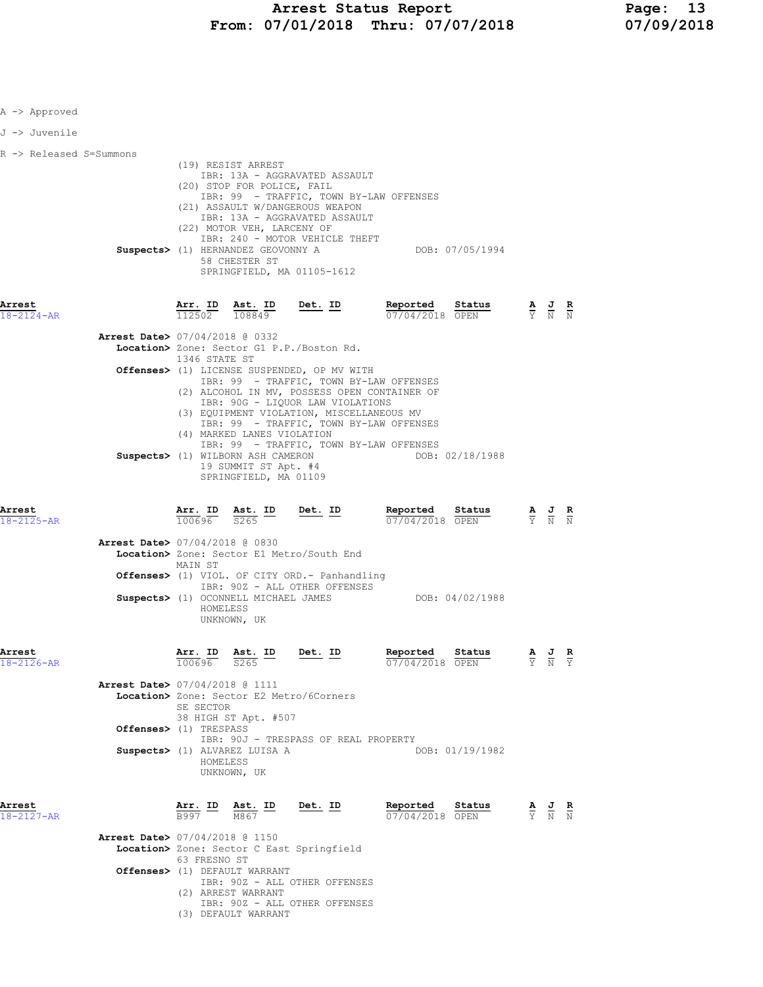| A -> Approved                                                          |                                                                                                                                                                               |                                               |                                                                                                                                                                                                                                                                                                                 |                                                           |                                                                                                 |  |
|------------------------------------------------------------------------|-------------------------------------------------------------------------------------------------------------------------------------------------------------------------------|-----------------------------------------------|-----------------------------------------------------------------------------------------------------------------------------------------------------------------------------------------------------------------------------------------------------------------------------------------------------------------|-----------------------------------------------------------|-------------------------------------------------------------------------------------------------|--|
| J -> Juvenile                                                          |                                                                                                                                                                               |                                               |                                                                                                                                                                                                                                                                                                                 |                                                           |                                                                                                 |  |
| R -> Released S=Summons                                                | (19) RESIST ARREST<br>(20) STOP FOR POLICE, FAIL<br>(22) MOTOR VEH, LARCENY OF<br>Suspects> (1) HERNANDEZ GEOVONNY A<br>58 CHESTER ST                                         |                                               | IBR: 13A - AGGRAVATED ASSAULT<br>IBR: 99 - TRAFFIC, TOWN BY-LAW OFFENSES<br>(21) ASSAULT W/DANGEROUS WEAPON<br>IBR: 13A - AGGRAVATED ASSAULT<br>IBR: 240 - MOTOR VEHICLE THEFT                                                                                                                                  | DOB: 07/05/1994                                           |                                                                                                 |  |
| Arrest<br>18-2124-AR                                                   |                                                                                                                                                                               |                                               | SPRINGFIELD, MA 01105-1612<br>$\frac{\texttt{Arr. ID}}{112502}$ $\frac{\texttt{ Ast. ID}}{108849}$ Det. ID                                                                                                                                                                                                      | $\frac{Reported}{07/04/201}$<br>Status<br>07/04/2018 OPEN | $\frac{\mathbf{A}}{\mathbf{Y}}$ $\frac{\mathbf{J}}{\mathbf{N}}$ $\frac{\mathbf{R}}{\mathbf{N}}$ |  |
| Arrest Date> 07/04/2018 @ 0332                                         | 1346 STATE ST<br>(4) MARKED LANES VIOLATION                                                                                                                                   |                                               | Location> Zone: Sector G1 P.P./Boston Rd.<br>Offenses> (1) LICENSE SUSPENDED, OP MV WITH<br>IBR: 99 - TRAFFIC, TOWN BY-LAW OFFENSES<br>(2) ALCOHOL IN MV, POSSESS OPEN CONTAINER OF<br>IBR: 90G - LIQUOR LAW VIOLATIONS<br>(3) EQUIPMENT VIOLATION, MISCELLANEOUS MV<br>IBR: 99 - TRAFFIC, TOWN BY-LAW OFFENSES |                                                           |                                                                                                 |  |
|                                                                        | Suspects> (1) WILBORN ASH CAMERON                                                                                                                                             | 19 SUMMIT ST Apt. #4<br>SPRINGFIELD, MA 01109 | IBR: 99 - TRAFFIC, TOWN BY-LAW OFFENSES                                                                                                                                                                                                                                                                         | DOB: 02/18/1988                                           |                                                                                                 |  |
| Arrest<br>$18 - 2125 - AR$<br><b>Arrest Date&gt; 07/04/2018 @ 0830</b> |                                                                                                                                                                               |                                               | $\frac{\texttt{Arr.}}{100696}$ $\frac{\texttt{ Ast.}}{5265}$ $\frac{\texttt{ID}}{2006}$ $\frac{\texttt{Det.}}{2006}$<br>Location> Zone: Sector E1 Metro/South End                                                                                                                                               | Reported<br>Status<br>$07/04/2018$ OPEN                   | $\frac{\mathbf{A}}{\mathbf{Y}}$ $\frac{\mathbf{J}}{\mathbf{N}}$ $\frac{\mathbf{R}}{\mathbf{N}}$ |  |
|                                                                        | MAIN ST<br>Suspects> (1) OCONNELL MICHAEL JAMES<br>HOMELESS<br>UNKNOWN, UK                                                                                                    |                                               | Offenses> (1) VIOL. OF CITY ORD.- Panhandling<br>IBR: 90Z - ALL OTHER OFFENSES                                                                                                                                                                                                                                  | DOB: 04/02/1988                                           |                                                                                                 |  |
| Arrest<br>18-2126-AR<br>Arrest Date> 07/04/2018 @ 1111                 | $\frac{\text{Arr.}}{100696}$ $\frac{\text{ Ast.}}{\text{S265}}$ $\frac{\text{ID}}{\text{D}}$<br>Location> Zone: Sector E2 Metro/6Corners<br>SE SECTOR<br>38 HIGH ST Apt. #507 |                                               | <u>Det. ID</u>                                                                                                                                                                                                                                                                                                  | Reported<br>Status<br>$07/04/2018$ OPEN                   | $\frac{\mathbf{A}}{\mathbf{Y}}$ $\frac{\mathbf{J}}{\mathbf{N}}$ $\frac{\mathbf{R}}{\mathbf{Y}}$ |  |
|                                                                        | Offenses> (1) TRESPASS<br>Suspects> (1) ALVAREZ LUISA A<br>HOMELESS<br>UNKNOWN, UK                                                                                            |                                               | IBR: 90J - TRESPASS OF REAL PROPERTY                                                                                                                                                                                                                                                                            | DOB: 01/19/1982                                           |                                                                                                 |  |
| Arrest<br>18-2127-AR<br><b>Arrest Date&gt;</b> 07/04/2018 @ 1150       | $\frac{\texttt{Arr.}}{\texttt{B997}}$ ID<br>63 FRESNO ST<br>Offenses> (1) DEFAULT WARRANT<br>(2) ARREST WARRANT<br>(3) DEFAULT WARRANT                                        | $\frac{\texttt{Ast.}}{\text{M867}}$ ID        | <u>Det. ID</u><br>Location> Zone: Sector C East Springfield<br>IBR: 90Z - ALL OTHER OFFENSES<br>IBR: 90Z - ALL OTHER OFFENSES                                                                                                                                                                                   | Reported<br>Status<br>07/04/2018 OPEN                     | $\frac{\mathbf{A}}{\mathrm{Y}}$ $\frac{\mathbf{J}}{\mathrm{N}}$                                 |  |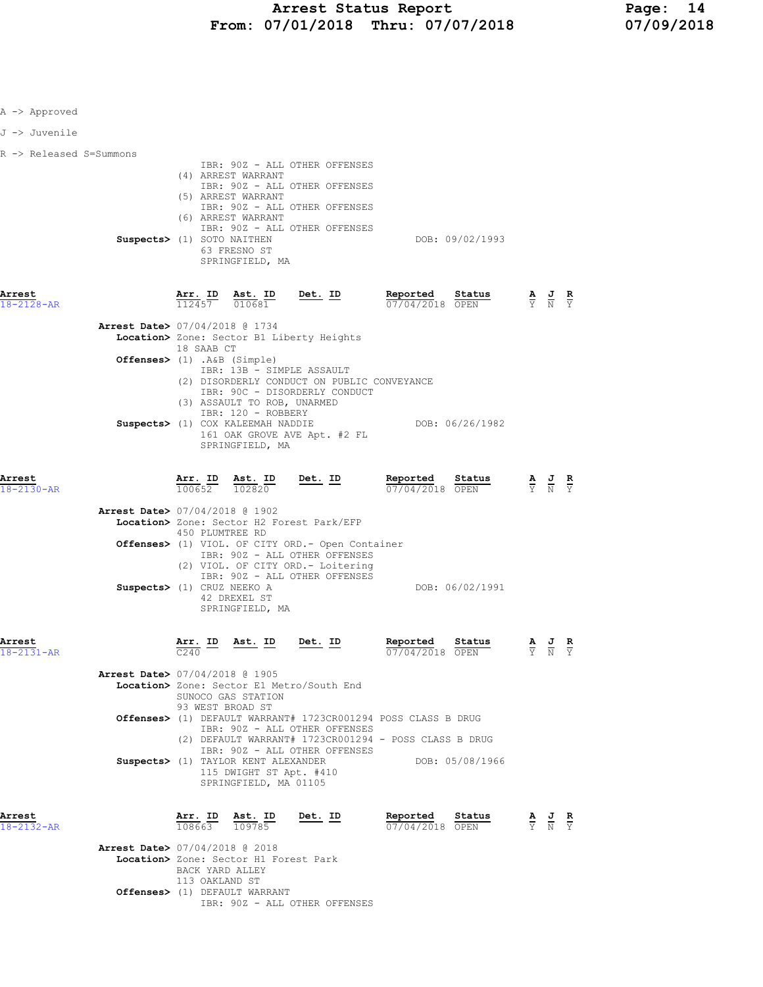| A -> Approved              |                                                                        |                                   |                                                                                                                     |                                                                                                                                                                                                                  |                                                                                                                                           |                                                                                                 |                                                                                                 |                               |  |
|----------------------------|------------------------------------------------------------------------|-----------------------------------|---------------------------------------------------------------------------------------------------------------------|------------------------------------------------------------------------------------------------------------------------------------------------------------------------------------------------------------------|-------------------------------------------------------------------------------------------------------------------------------------------|-------------------------------------------------------------------------------------------------|-------------------------------------------------------------------------------------------------|-------------------------------|--|
| J -> Juvenile              |                                                                        |                                   |                                                                                                                     |                                                                                                                                                                                                                  |                                                                                                                                           |                                                                                                 |                                                                                                 |                               |  |
| R -> Released S=Summons    | Suspects> (1) SOTO NAITHEN                                             |                                   | (4) ARREST WARRANT<br>(5) ARREST WARRANT<br>(6) ARREST WARRANT<br>63 FRESNO ST<br>SPRINGFIELD, MA                   | IBR: 90Z - ALL OTHER OFFENSES<br>IBR: 90Z - ALL OTHER OFFENSES<br>IBR: 90Z - ALL OTHER OFFENSES<br>IBR: 90Z - ALL OTHER OFFENSES                                                                                 | DOB: 09/02/1993                                                                                                                           |                                                                                                 |                                                                                                 |                               |  |
| Arrest<br>$18 - 2128 - AR$ |                                                                        | Arr. ID<br>112457 010681          | Ast. ID                                                                                                             | <u>Det. ID</u>                                                                                                                                                                                                   | Reported<br>Status<br>07/04/2018 OPEN                                                                                                     |                                                                                                 | $\frac{\mathbf{A}}{\mathbf{Y}}$ $\frac{\mathbf{J}}{\mathbf{N}}$                                 | $\frac{\mathbf{R}}{\Upsilon}$ |  |
|                            | Arrest Date> 07/04/2018 @ 1734<br>Offenses> (1) .A&B (Simple)          | 18 SAAB CT                        | IBR: 13B - SIMPLE ASSAULT<br>(3) ASSAULT TO ROB, UNARMED<br>IBR: 120 - ROBBERY<br>Suspects> (1) COX KALEEMAH NADDIE | Location> Zone: Sector B1 Liberty Heights<br>(2) DISORDERLY CONDUCT ON PUBLIC CONVEYANCE<br>IBR: 90C - DISORDERLY CONDUCT                                                                                        | DOB: 06/26/1982                                                                                                                           |                                                                                                 |                                                                                                 |                               |  |
| Arrest                     |                                                                        |                                   | SPRINGFIELD, MA                                                                                                     | 161 OAK GROVE AVE Apt. #2 FL<br>$\frac{\texttt{Arr. ID}}{100652}$ $\frac{\texttt{ Ast. ID}}{102820}$ $\frac{\texttt{Det. ID}}{102820}$                                                                           | <b>Reported</b><br>Status                                                                                                                 |                                                                                                 | $\frac{\mathbf{A}}{\mathbf{Y}}$ $\frac{\mathbf{J}}{\mathbf{N}}$ $\frac{\mathbf{R}}{\mathbf{Y}}$ |                               |  |
| 18-2130-AR                 | <b>Arrest Date&gt; 07/04/2018 @ 1902</b><br>Suspects> (1) CRUZ NEEKO A | 450 PLUMTREE RD                   | 42 DREXEL ST<br>SPRINGFIELD, MA                                                                                     | Location> Zone: Sector H2 Forest Park/EFP<br><b>Offenses&gt;</b> (1) VIOL. OF CITY ORD. - Open Container<br>IBR: 90Z - ALL OTHER OFFENSES<br>(2) VIOL. OF CITY ORD. - Loitering<br>IBR: 90Z - ALL OTHER OFFENSES | 07/04/2018 OPEN<br>DOB: 06/02/1991                                                                                                        |                                                                                                 |                                                                                                 |                               |  |
| Arrest<br>18-2131-AR       | Arrest Date> 07/04/2018 @ 1905                                         | Arr. ID<br>C240                   | Ast. ID Det. ID                                                                                                     | Location> Zone: Sector E1 Metro/South End                                                                                                                                                                        | Status<br>Reported<br>07/04/2018 OPEN                                                                                                     |                                                                                                 | AJR<br>$\overline{Y}$ $\overline{N}$ $\overline{Y}$                                             |                               |  |
|                            |                                                                        | 93 WEST BROAD ST                  | SUNOCO GAS STATION<br>Suspects> (1) TAYLOR KENT ALEXANDER<br>115 DWIGHT ST Apt. #410                                | IBR: 90Z - ALL OTHER OFFENSES<br>IBR: 90Z - ALL OTHER OFFENSES                                                                                                                                                   | Offenses> (1) DEFAULT WARRANT# 1723CR001294 POSS CLASS B DRUG<br>(2) DEFAULT WARRANT# 1723CR001294 - POSS CLASS B DRUG<br>DOB: 05/08/1966 |                                                                                                 |                                                                                                 |                               |  |
| Arrest<br>18-2132-AR       |                                                                        |                                   | SPRINGFIELD, MA 01105                                                                                               | $\frac{\texttt{Arr. ID}}{108663}$ $\frac{\texttt{ Ast. ID}}{109785}$ Det. ID                                                                                                                                     | Reported Status<br>07/04/2018 OPEN                                                                                                        | $\frac{\mathbf{A}}{\mathbf{Y}}$ $\frac{\mathbf{J}}{\mathbf{N}}$ $\frac{\mathbf{R}}{\mathbf{Y}}$ |                                                                                                 |                               |  |
|                            | <b>Arrest Date&gt; 07/04/2018 @ 2018</b>                               | BACK YARD ALLEY<br>113 OAKLAND ST | Location> Zone: Sector H1 Forest Park<br>Offenses> (1) DEFAULT WARRANT                                              | IBR: 90Z - ALL OTHER OFFENSES                                                                                                                                                                                    |                                                                                                                                           |                                                                                                 |                                                                                                 |                               |  |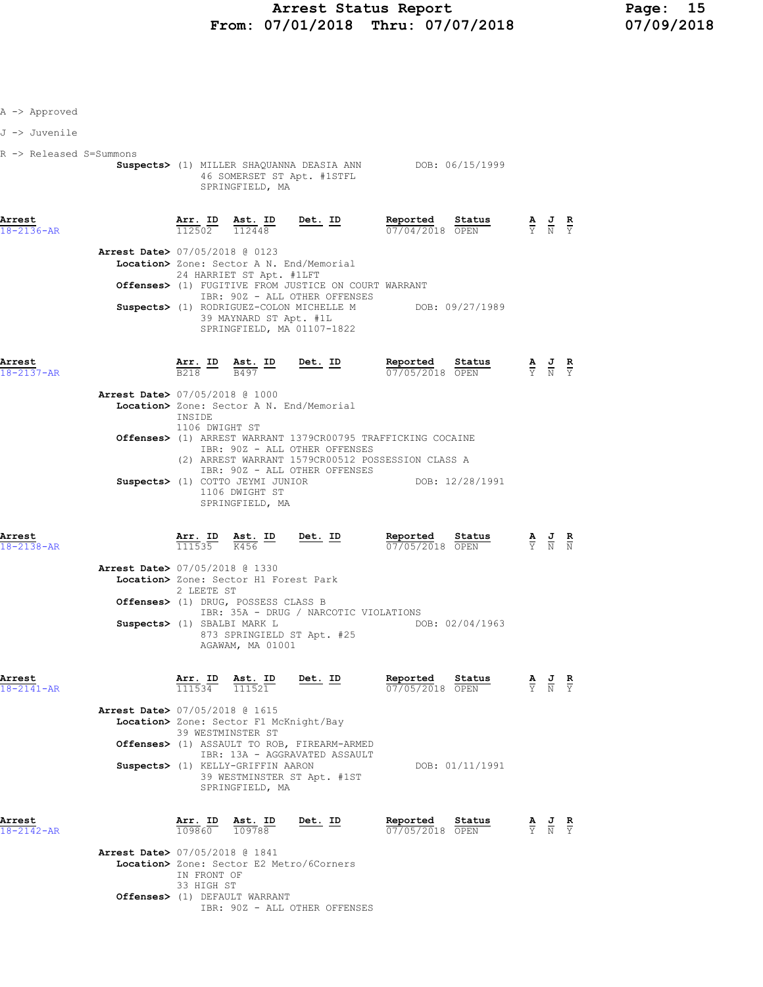## Arrest Status Report<br>07/01/2018 Thru: 07/07/2018 07/09/2018 From: 07/01/2018 Thru: 07/07/2018

- A -> Approved
- J -> Juvenile
- R -> Released S=Summons
	- Suspects> (1) MILLER SHAQUANNA DEASIA ANN DOB: 06/15/1999 46 SOMERSET ST Apt. #1STFL SPRINGFIELD, MA

| Arrest<br>$18 - 2136 - AR$               | 112502 112448                                        | Arr. ID Ast. ID                                      | Det. ID | Reported<br>07/04/2018 OPEN | Status          | $\frac{\mathbf{A}}{\mathbf{Y}}$ $\frac{\mathbf{J}}{\mathbf{N}}$ $\frac{\mathbf{R}}{\mathbf{Y}}$ |  |
|------------------------------------------|------------------------------------------------------|------------------------------------------------------|---------|-----------------------------|-----------------|-------------------------------------------------------------------------------------------------|--|
| <b>Arrest Date&gt; 07/05/2018 @ 0123</b> |                                                      |                                                      |         |                             |                 |                                                                                                 |  |
|                                          | Location> Zone: Sector A N. End/Memorial             | 24 HARRIET ST Apt. #1LFT                             |         |                             |                 |                                                                                                 |  |
|                                          | Offenses> (1) FUGITIVE FROM JUSTICE ON COURT WARRANT | IBR: 90Z - ALL OTHER OFFENSES                        |         |                             |                 |                                                                                                 |  |
|                                          | Suspects> (1) RODRIGUEZ-COLON MICHELLE M             | 39 MAYNARD ST Apt. #1L<br>SPRINGFIELD, MA 01107-1822 |         |                             | DOB: 09/27/1989 |                                                                                                 |  |

Arrest Arr. ID Ast. ID Det. ID Reported Status A J R

| 18-2137-AR |                                          | B218   | B497                                                                  | 07/05/2018 OPEN                                                        |                 | Y N Y |  |
|------------|------------------------------------------|--------|-----------------------------------------------------------------------|------------------------------------------------------------------------|-----------------|-------|--|
|            | <b>Arrest Date&gt; 07/05/2018 @ 1000</b> |        |                                                                       |                                                                        |                 |       |  |
|            |                                          |        | Location> Zone: Sector A N. End/Memorial                              |                                                                        |                 |       |  |
|            |                                          | INSIDE | 1106 DWIGHT ST                                                        |                                                                        |                 |       |  |
|            |                                          |        |                                                                       | <b>Offenses&gt;</b> (1) ARREST WARRANT 1379CR00795 TRAFFICKING COCAINE |                 |       |  |
|            |                                          |        | IBR: 90Z - ALL OTHER OFFENSES                                         | (2) ARREST WARRANT 1579CR00512 POSSESSION CLASS A                      |                 |       |  |
|            |                                          |        | IBR: 90Z - ALL OTHER OFFENSES                                         |                                                                        |                 |       |  |
|            |                                          |        | Suspects> (1) COTTO JEYMI JUNIOR<br>1106 DWIGHT ST<br>SPRINGFIELD, MA |                                                                        | DOB: 12/28/1991 |       |  |
|            |                                          |        |                                                                       |                                                                        |                 |       |  |

| Status<br>Reported<br>Arr. ID Ast. ID<br>Det. ID<br>$\frac{\mathbf{A}}{\mathbf{Y}}$ $\frac{\mathbf{J}}{\mathbf{N}}$ $\frac{\mathbf{R}}{\mathbf{N}}$<br>07/05/2018 OPEN<br>111535<br>K456<br>18-2138-AR                                                                              |  |
|-------------------------------------------------------------------------------------------------------------------------------------------------------------------------------------------------------------------------------------------------------------------------------------|--|
| Arrest Date> 07/05/2018 @ 1330<br>Location> Zone: Sector H1 Forest Park<br>2 LEETE ST<br><b>Offenses&gt;</b> (1) DRUG, POSSESS CLASS B<br>IBR: 35A - DRUG / NARCOTIC VIOLATIONS<br>DOB: 02/04/1963<br>Suspects> (1) SBALBI MARK L<br>873 SPRINGIELD ST Apt. #25<br>AGAWAM, MA 01001 |  |

| Arrest     |                                | Arr. ID | Ast. ID | Det. ID | Reported        | Status | AJR<br>- | $\sim$ |
|------------|--------------------------------|---------|---------|---------|-----------------|--------|----------|--------|
| 18-2141-AR |                                | 111534  | 111521  |         | 07/05/2018 OPEN |        | Y N Y    |        |
|            | Arrest Date> 07/05/2018 @ 1615 |         |         |         |                 |        |          |        |

 Location> Zone: Sector F1 McKnight/Bay 39 WESTMINSTER ST Offenses> (1) ASSAULT TO ROB, FIREARM-ARMED IBR: 13A - AGGRAVATED ASSAULT Suspects> (1) KELLY-GRIFFIN AARON DOB: 01/11/1991 39 WESTMINSTER ST Apt. #1ST SPRINGFIELD, MA

| Arrest     | Arr. ID Ast. ID | Det. ID | Reported        | Status | AJR   |  |
|------------|-----------------|---------|-----------------|--------|-------|--|
| 18-2142-AR | 109860 109788   |         | 07/05/2018 OPEN |        | Y N Y |  |

| Reported   | Status |  |
|------------|--------|--|
| 07/05/2018 | O PEN  |  |

 Arrest Date> 07/05/2018 @ 1841 Location> Zone: Sector E2 Metro/6Corners IN FRONT OF 33 HIGH ST Offenses> (1) DEFAULT WARRANT IBR: 90Z - ALL OTHER OFFENSES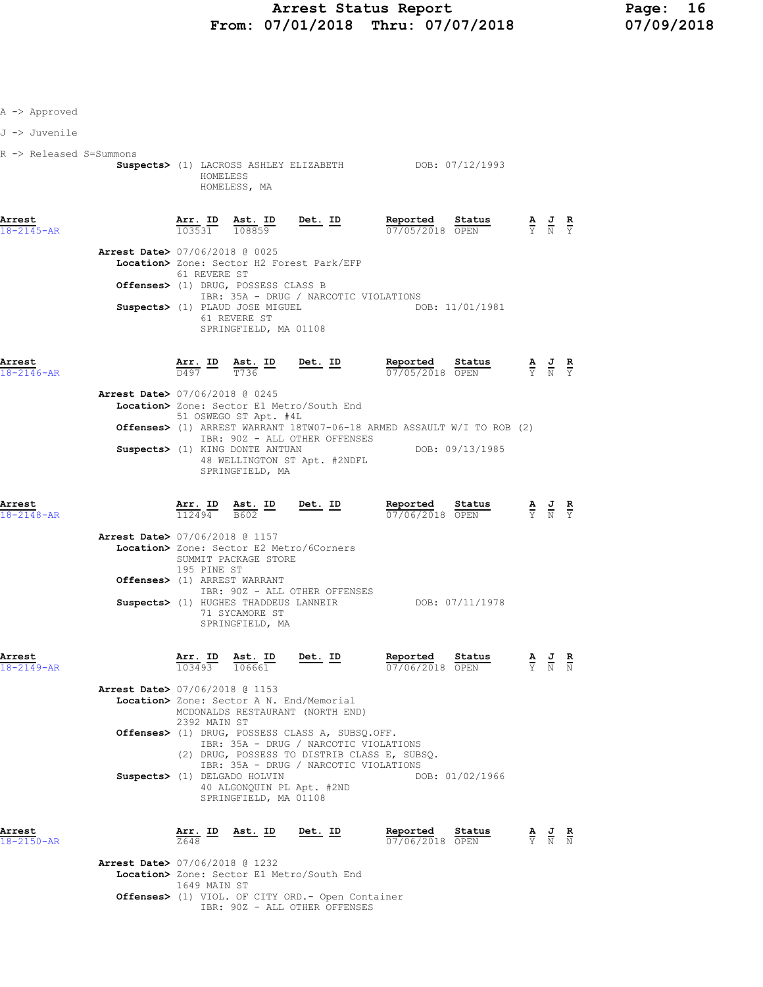## Arrest Status Report 16<br>17/01/2018 Thru: 07/07/2018 17/09/2018 From:  $07/01/2018$  Thru:  $07/07/2018$

| A -> Approved              |                                          |                                |                                                                                    |                                                                                                                                          |                                                                                                                                                                             |                                                                                                 |                                                                                                 |  |
|----------------------------|------------------------------------------|--------------------------------|------------------------------------------------------------------------------------|------------------------------------------------------------------------------------------------------------------------------------------|-----------------------------------------------------------------------------------------------------------------------------------------------------------------------------|-------------------------------------------------------------------------------------------------|-------------------------------------------------------------------------------------------------|--|
| J -> Juvenile              |                                          |                                |                                                                                    |                                                                                                                                          |                                                                                                                                                                             |                                                                                                 |                                                                                                 |  |
| R -> Released S=Summons    |                                          | HOMELESS                       | HOMELESS, MA                                                                       |                                                                                                                                          | Suspects> (1) LACROSS ASHLEY ELIZABETH DOB: 07/12/1993                                                                                                                      |                                                                                                 |                                                                                                 |  |
| Arrest<br>18-2145-AR       |                                          |                                |                                                                                    | <b><u>Arr. ID</u> Ast. ID Det. ID</b><br>$\frac{103531}{108859}$ <b>Det.</b> ID                                                          | <b>Reported Status A J R</b><br>$\frac{0.77}{0.77}$ $\frac{0.77}{0.77}$ $\frac{0.77}{0.77}$ $\frac{0.77}{0.77}$ $\frac{0.77}{0.77}$ $\frac{0.77}{0.77}$ $\frac{0.77}{0.77}$ |                                                                                                 |                                                                                                 |  |
|                            | <b>Arrest Date&gt; 07/06/2018 @ 0025</b> | 61 REVERE ST                   |                                                                                    | Location> Zone: Sector H2 Forest Park/EFP                                                                                                |                                                                                                                                                                             |                                                                                                 |                                                                                                 |  |
|                            |                                          |                                | Offenses> (1) DRUG, POSSESS CLASS B                                                | IBR: 35A - DRUG / NARCOTIC VIOLATIONS                                                                                                    |                                                                                                                                                                             |                                                                                                 |                                                                                                 |  |
|                            |                                          |                                | 61 REVERE ST<br>SPRINGFIELD, MA 01108                                              |                                                                                                                                          | Suspects> (1) PLAUD JOSE MIGUEL THE RESOLUTION DOB: 11/01/1981                                                                                                              |                                                                                                 |                                                                                                 |  |
| Arrest<br>18-2146-AR       |                                          |                                |                                                                                    |                                                                                                                                          | <b>Arr. ID</b> Ast. ID Det. ID Reported Status $\frac{D}{D497}$ $\frac{D}{T736}$ Det. ID Reported Status<br>07/05/2018 OPEN                                                 | $\frac{\mathbf{A}}{\mathbf{Y}}$ $\frac{\mathbf{J}}{\mathbf{N}}$ $\frac{\mathbf{R}}{\mathbf{Y}}$ |                                                                                                 |  |
|                            | Arrest Date> 07/06/2018 @ 0245           |                                | 51 OSWEGO ST Apt. #4L                                                              | Location> Zone: Sector E1 Metro/South End<br>IBR: 90Z - ALL OTHER OFFENSES<br>Suspects> (1) KING DONTE ANTUAN                            | Offenses> (1) ARREST WARRANT 18TW07-06-18 ARMED ASSAULT W/I TO ROB (2)<br>DOB: 09/13/1985                                                                                   |                                                                                                 |                                                                                                 |  |
| Arrest                     |                                          |                                | SPRINGFIELD, MA                                                                    | 48 WELLINGTON ST Apt. #2NDFL                                                                                                             | Reported Status                                                                                                                                                             |                                                                                                 |                                                                                                 |  |
| $18 - 2148 - AR$           |                                          |                                |                                                                                    | $\frac{\texttt{Arr. ID}}{112494}$ $\frac{\texttt{ Ast. ID}}{B602}$ $\frac{\texttt{Det. ID}}{B602}$                                       | <b>Reported Status A J R</b> $\frac{1}{2}$ <b>R</b> $\frac{1}{2}$ <b>R</b> $\frac{1}{2}$ <b>R</b> $\frac{1}{2}$ <b>R</b> $\frac{1}{2}$                                      |                                                                                                 |                                                                                                 |  |
|                            | <b>Arrest Date&gt; 07/06/2018 @ 1157</b> | 195 PINE ST                    | SUMMIT PACKAGE STORE<br>Offenses> (1) ARREST WARRANT                               | Location> Zone: Sector E2 Metro/6Corners                                                                                                 |                                                                                                                                                                             |                                                                                                 |                                                                                                 |  |
|                            |                                          |                                | 71 SYCAMORE ST<br>SPRINGFIELD, MA                                                  | IBR: 90Z - ALL OTHER OFFENSES                                                                                                            | Suspects> (1) HUGHES THADDEUS LANNEIR DOB: 07/11/1978                                                                                                                       |                                                                                                 |                                                                                                 |  |
| Arrest<br>$18 - 2149 - AR$ |                                          | $Arr.$ ID<br>$\frac{103493}{}$ | <u>Ast. ID</u><br>106661                                                           | Det. ID                                                                                                                                  | Reported<br>Status<br>07/06/2018 OPEN                                                                                                                                       |                                                                                                 | $\frac{\mathbf{A}}{\mathbf{Y}}$ $\frac{\mathbf{J}}{\mathbf{N}}$ $\frac{\mathbf{R}}{\mathbf{N}}$ |  |
|                            | Arrest Date> 07/06/2018 @ 1153           | 2392 MAIN ST                   |                                                                                    | Location> Zone: Sector A N. End/Memorial<br>MCDONALDS RESTAURANT (NORTH END)                                                             |                                                                                                                                                                             |                                                                                                 |                                                                                                 |  |
|                            |                                          |                                |                                                                                    | Offenses> (1) DRUG, POSSESS CLASS A, SUBSQ.OFF.<br>IBR: 35A - DRUG / NARCOTIC VIOLATIONS<br>(2) DRUG, POSSESS TO DISTRIB CLASS E, SUBSQ. |                                                                                                                                                                             |                                                                                                 |                                                                                                 |  |
|                            |                                          |                                | Suspects> (1) DELGADO HOLVIN<br>40 ALGONQUIN PL Apt. #2ND<br>SPRINGFIELD, MA 01108 | IBR: 35A - DRUG / NARCOTIC VIOLATIONS                                                                                                    | DOB: 01/02/1966                                                                                                                                                             |                                                                                                 |                                                                                                 |  |
| Arrest<br>18-2150-AR       |                                          | $\frac{\text{Arr.}}{2648}$ ID  | Ast. ID Det. ID                                                                    |                                                                                                                                          | Reported<br>Status<br>07/06/2018 OPEN                                                                                                                                       |                                                                                                 | $\frac{\mathbf{A}}{\mathbf{Y}}$ $\frac{\mathbf{J}}{\mathbf{N}}$ $\frac{\mathbf{R}}{\mathbf{N}}$ |  |
|                            | <b>Arrest Date&gt; 07/06/2018 @ 1232</b> |                                |                                                                                    | Location> Zone: Sector E1 Metro/South End                                                                                                |                                                                                                                                                                             |                                                                                                 |                                                                                                 |  |

 1649 MAIN ST Offenses> (1) VIOL. OF CITY ORD.- Open Container

IBR: 90Z - ALL OTHER OFFENSES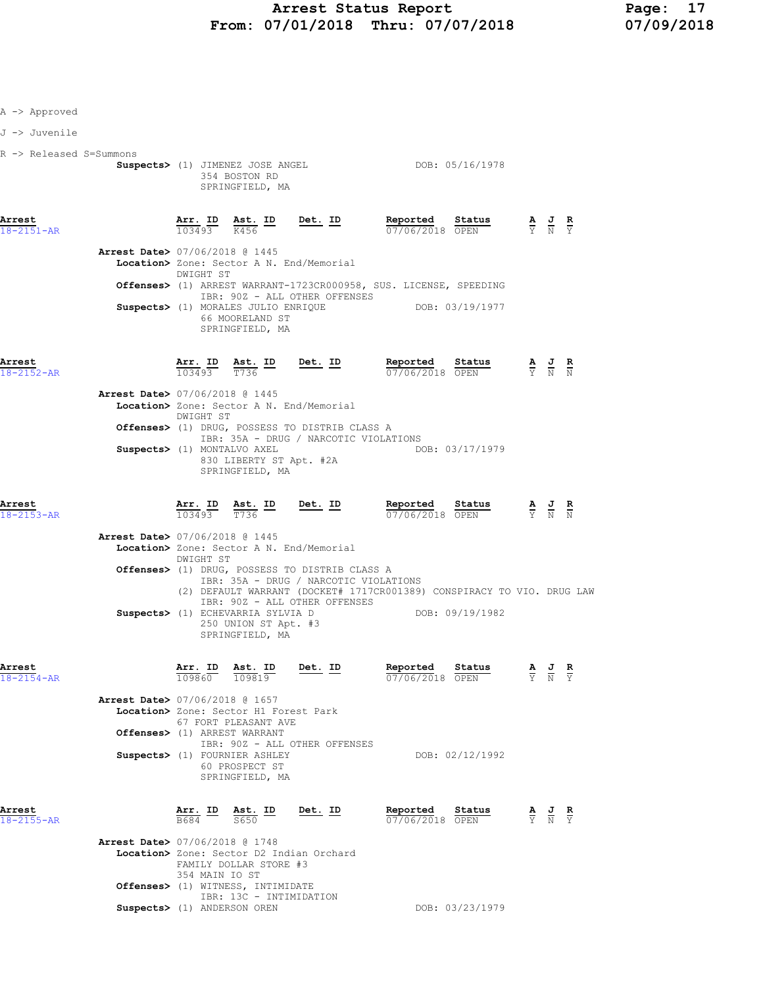| A -> Approved              |                                       |                                                                                      |                                                                                         |                                                                        |                                                                                               |                                                                                                 |                                                                                                 |  |
|----------------------------|---------------------------------------|--------------------------------------------------------------------------------------|-----------------------------------------------------------------------------------------|------------------------------------------------------------------------|-----------------------------------------------------------------------------------------------|-------------------------------------------------------------------------------------------------|-------------------------------------------------------------------------------------------------|--|
| J -> Juvenile              |                                       |                                                                                      |                                                                                         |                                                                        |                                                                                               |                                                                                                 |                                                                                                 |  |
| R -> Released S=Summons    |                                       | Suspects> (1) JIMENEZ JOSE ANGEL<br>354 BOSTON RD<br>SPRINGFIELD, MA                 |                                                                                         |                                                                        | DOB: 05/16/1978                                                                               |                                                                                                 |                                                                                                 |  |
| Arrest<br>$18 - 2151 - AR$ | Arr. ID<br>103493                     | $\frac{\text{Ast.}}{K456}$ ID<br>K456                                                | <u>Det. ID</u>                                                                          | Reported Status<br>07/06/2018 OPEN                                     |                                                                                               | $\frac{\mathbf{A}}{\mathbf{Y}}$ $\frac{\mathbf{J}}{\mathbf{N}}$ $\frac{\mathbf{R}}{\mathbf{Y}}$ |                                                                                                 |  |
|                            | DWIGHT ST                             | Arrest Date> 07/06/2018 @ 1445                                                       | Location> Zone: Sector A N. End/Memorial                                                |                                                                        |                                                                                               |                                                                                                 |                                                                                                 |  |
|                            |                                       | Suspects> (1) MORALES JULIO ENRIQUE                                                  | IBR: 90Z - ALL OTHER OFFENSES                                                           | Offenses> (1) ARREST WARRANT-1723CR000958, SUS. LICENSE, SPEEDING      | DOB: 03/19/1977                                                                               |                                                                                                 |                                                                                                 |  |
|                            |                                       | 66 MOORELAND ST<br>SPRINGFIELD, MA                                                   |                                                                                         |                                                                        |                                                                                               |                                                                                                 |                                                                                                 |  |
| Arrest<br>18-2152-AR       |                                       | $\frac{\texttt{Arr.}}{103493}$ $\frac{\texttt{ Ast.}}{T736}$ $\frac{\texttt{ID}}{T}$ | $Det. ID$                                                                               | Reported Status                                                        | <b>Reported Status A J R</b><br>$\overline{07/06/2018}$ <b>OPEN</b> $\overline{Y}$ <b>N N</b> |                                                                                                 |                                                                                                 |  |
|                            | DWIGHT ST                             | <b>Arrest Date&gt; 07/06/2018 @ 1445</b>                                             | Location> Zone: Sector A N. End/Memorial                                                |                                                                        |                                                                                               |                                                                                                 |                                                                                                 |  |
|                            |                                       |                                                                                      | Offenses> (1) DRUG, POSSESS TO DISTRIB CLASS A<br>IBR: 35A - DRUG / NARCOTIC VIOLATIONS |                                                                        |                                                                                               |                                                                                                 |                                                                                                 |  |
|                            |                                       | Suspects> (1) MONTALVO AXEL<br>830 LIBERTY ST Apt. #2A<br>SPRINGFIELD, MA            |                                                                                         |                                                                        | DOB: 03/17/1979                                                                               |                                                                                                 |                                                                                                 |  |
| Arrest<br>$18 - 2153 - AR$ | $\overline{103493}$ $\overline{7736}$ | Arr. ID Ast. ID                                                                      | <u>Det. ID</u>                                                                          | Reported Status<br>07/06/2018 OPEN                                     |                                                                                               | $\frac{\mathbf{A}}{\mathbf{Y}}$ $\frac{\mathbf{J}}{\mathbf{N}}$ $\frac{\mathbf{R}}{\mathbf{N}}$ |                                                                                                 |  |
|                            | DWIGHT ST                             | <b>Arrest Date&gt; 07/06/2018 @ 1445</b>                                             | Location> Zone: Sector A N. End/Memorial                                                |                                                                        |                                                                                               |                                                                                                 |                                                                                                 |  |
|                            |                                       |                                                                                      | Offenses> (1) DRUG, POSSESS TO DISTRIB CLASS A<br>IBR: 35A - DRUG / NARCOTIC VIOLATIONS | (2) DEFAULT WARRANT (DOCKET# 1717CR001389) CONSPIRACY TO VIO. DRUG LAW |                                                                                               |                                                                                                 |                                                                                                 |  |
|                            |                                       | Suspects> (1) ECHEVARRIA SYLVIA D<br>250 UNION ST Apt. #3<br>SPRINGFIELD, MA         | IBR: 90Z - ALL OTHER OFFENSES                                                           |                                                                        | DOB: 09/19/1982                                                                               |                                                                                                 |                                                                                                 |  |
| Arrest<br>$18 - 2154 - AR$ | 109860                                | Arr. ID Ast. ID<br>109819                                                            | <u>Det. ID</u>                                                                          | Reported<br>07/06/2018 OPEN                                            | Status                                                                                        |                                                                                                 | $\frac{\mathbf{A}}{\mathbf{Y}}$ $\frac{\mathbf{J}}{\mathbf{N}}$ $\frac{\mathbf{R}}{\mathbf{Y}}$ |  |
|                            |                                       | Arrest Date> 07/06/2018 @ 1657<br>Location> Zone: Sector H1 Forest Park              |                                                                                         |                                                                        |                                                                                               |                                                                                                 |                                                                                                 |  |
|                            |                                       | 67 FORT PLEASANT AVE<br>Offenses> (1) ARREST WARRANT                                 |                                                                                         |                                                                        |                                                                                               |                                                                                                 |                                                                                                 |  |
|                            |                                       | Suspects> (1) FOURNIER ASHLEY                                                        | IBR: 90Z - ALL OTHER OFFENSES                                                           |                                                                        | DOB: 02/12/1992                                                                               |                                                                                                 |                                                                                                 |  |
|                            |                                       | 60 PROSPECT ST<br>SPRINGFIELD, MA                                                    |                                                                                         |                                                                        |                                                                                               |                                                                                                 |                                                                                                 |  |
| Arrest<br>18-2155-AR       | <u>Arr. ID</u>                        | <u>Ast. ID</u><br>S650                                                               | Det. ID                                                                                 | Reported<br>07/06/2018 OPEN                                            | Status                                                                                        |                                                                                                 | $\frac{\mathbf{A}}{\mathbf{Y}}$ $\frac{\mathbf{J}}{\mathbf{N}}$ $\frac{\mathbf{R}}{\mathbf{Y}}$ |  |
|                            | 354 MAIN IO ST                        | Arrest Date> 07/06/2018 @ 1748<br>FAMILY DOLLAR STORE #3                             | Location> Zone: Sector D2 Indian Orchard                                                |                                                                        |                                                                                               |                                                                                                 |                                                                                                 |  |
|                            |                                       | <b>Offenses&gt;</b> (1) WITNESS, INTIMIDATE<br>IBR: 13C - INTIMIDATION               |                                                                                         |                                                                        |                                                                                               |                                                                                                 |                                                                                                 |  |

 $\texttt{Suppects>}$  (1) ANDERSON OREN  $\texttt{DOB:}$  03/23/1979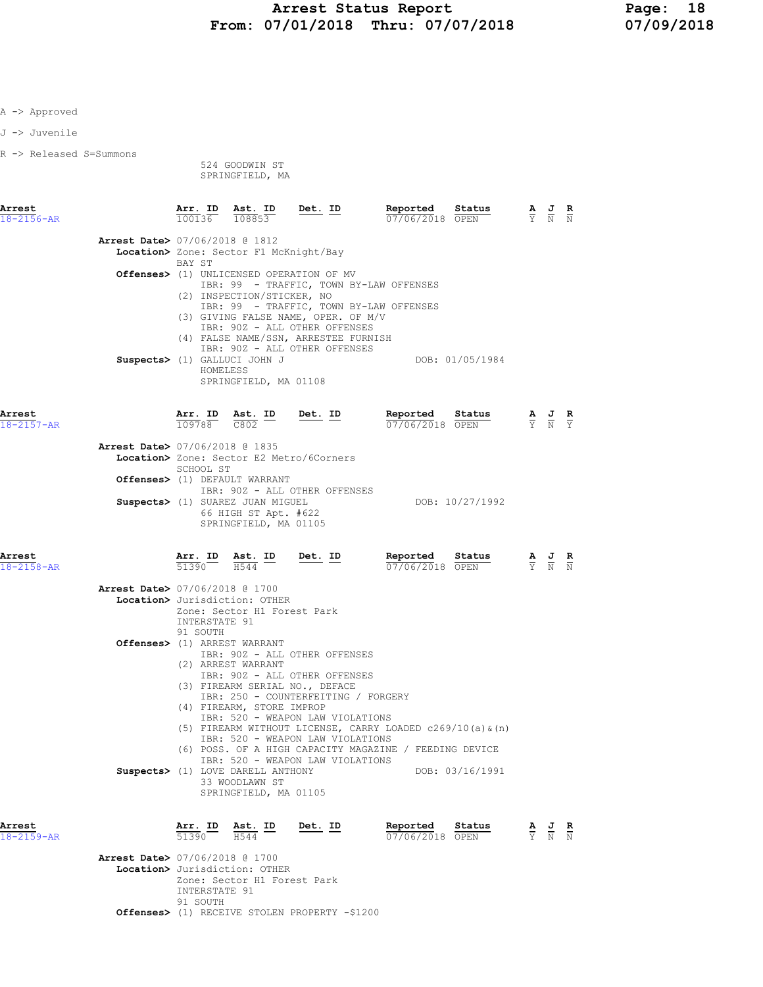| J -> Juvenile              |                                          |                           |                                                                                                           |                                                                                                                                                                                                     |                                                                                                                                |                 |                                                                                                 |                                                                                                       |  |
|----------------------------|------------------------------------------|---------------------------|-----------------------------------------------------------------------------------------------------------|-----------------------------------------------------------------------------------------------------------------------------------------------------------------------------------------------------|--------------------------------------------------------------------------------------------------------------------------------|-----------------|-------------------------------------------------------------------------------------------------|-------------------------------------------------------------------------------------------------------|--|
| R -> Released S=Summons    |                                          |                           | 524 GOODWIN ST<br>SPRINGFIELD, MA                                                                         |                                                                                                                                                                                                     |                                                                                                                                |                 |                                                                                                 |                                                                                                       |  |
| Arrest<br>$18 - 2156 - AR$ |                                          |                           |                                                                                                           | $\frac{\texttt{Arr. ID}}{100136}$ $\frac{\texttt{ Ast. ID}}{108853}$ Det. ID                                                                                                                        | Reported Status<br>07/06/2018 OPEN                                                                                             |                 |                                                                                                 | $\frac{\mathbf{A}}{\mathbf{Y}}$ $\frac{\mathbf{J}}{\mathbf{N}}$ $\frac{\mathbf{R}}{\mathbf{N}}$       |  |
|                            | Arrest Date> 07/06/2018 @ 1812           | BAY ST                    | Location> Zone: Sector F1 McKnight/Bay                                                                    |                                                                                                                                                                                                     |                                                                                                                                |                 |                                                                                                 |                                                                                                       |  |
|                            |                                          |                           | (2) INSPECTION/STICKER, NO<br>Suspects> (1) GALLUCI JOHN J<br>HOMELESS<br>SPRINGFIELD, MA 01108           | <b>Offenses&gt;</b> (1) UNLICENSED OPERATION OF MV<br>(3) GIVING FALSE NAME, OPER. OF M/V<br>IBR: 90Z - ALL OTHER OFFENSES<br>(4) FALSE NAME/SSN, ARRESTEE FURNISH<br>IBR: 90Z - ALL OTHER OFFENSES | IBR: 99 - TRAFFIC, TOWN BY-LAW OFFENSES<br>IBR: 99 - TRAFFIC, TOWN BY-LAW OFFENSES                                             | DOB: 01/05/1984 |                                                                                                 |                                                                                                       |  |
| Arrest<br>$18 - 2157 - AR$ |                                          |                           |                                                                                                           | $\frac{\texttt{Arr. ID}}{109788}$ $\frac{\texttt{ Ast. ID}}{\texttt{C802}}$ Det. ID                                                                                                                 | Reported Status<br>07/06/2018 OPEN                                                                                             |                 | $\frac{\mathbf{A}}{\mathbf{Y}}$ $\frac{\mathbf{J}}{\mathbf{N}}$ $\frac{\mathbf{R}}{\mathbf{Y}}$ |                                                                                                       |  |
|                            | <b>Arrest Date&gt; 07/06/2018 @ 1835</b> |                           | Location> Zone: Sector E2 Metro/6Corners                                                                  |                                                                                                                                                                                                     |                                                                                                                                |                 |                                                                                                 |                                                                                                       |  |
|                            |                                          | SCHOOL ST                 | Offenses> (1) DEFAULT WARRANT                                                                             |                                                                                                                                                                                                     |                                                                                                                                |                 |                                                                                                 |                                                                                                       |  |
|                            |                                          |                           | Suspects> (1) SUAREZ JUAN MIGUEL<br>66 HIGH ST Apt. #622<br>SPRINGFIELD, MA 01105                         | IBR: 90Z - ALL OTHER OFFENSES                                                                                                                                                                       |                                                                                                                                | DOB: 10/27/1992 |                                                                                                 |                                                                                                       |  |
| Arrest<br>$18 - 2158 - AR$ |                                          |                           | $\frac{\text{Arr.}}{51390}$ $\frac{\text{B}}{H544}$ $\frac{\text{ID}}{H}$                                 | Det. ID                                                                                                                                                                                             | Reported Status<br>07/06/2018 OPEN                                                                                             |                 |                                                                                                 | $\frac{\mathbf{A}}{\overline{Y}}$ $\frac{\mathbf{J}}{\overline{N}}$ $\frac{\mathbf{R}}{\overline{N}}$ |  |
|                            | <b>Arrest Date&gt; 07/06/2018 @ 1700</b> |                           | Location> Jurisdiction: OTHER<br>Zone: Sector H1 Forest Park                                              |                                                                                                                                                                                                     |                                                                                                                                |                 |                                                                                                 |                                                                                                       |  |
|                            |                                          | INTERSTATE 91<br>91 SOUTH | Offenses> (1) ARREST WARRANT<br>(2) ARREST WARRANT                                                        | IBR: 90Z - ALL OTHER OFFENSES<br>IBR: 90Z - ALL OTHER OFFENSES<br>(3) FIREARM SERIAL NO., DEFACE<br>IBR: 250 - COUNTERFEITING / FORGERY                                                             |                                                                                                                                |                 |                                                                                                 |                                                                                                       |  |
|                            |                                          |                           | (4) FIREARM, STORE IMPROP<br>Suspects> (1) LOVE DARELL ANTHONY<br>33 WOODLAWN ST<br>SPRINGFIELD, MA 01105 | IBR: 520 - WEAPON LAW VIOLATIONS<br>IBR: 520 - WEAPON LAW VIOLATIONS<br>IBR: 520 - WEAPON LAW VIOLATIONS                                                                                            | (5) FIREARM WITHOUT LICENSE, CARRY LOADED $c269/10$ (a) $\alpha$ (n)<br>(6) POSS. OF A HIGH CAPACITY MAGAZINE / FEEDING DEVICE | DOB: 03/16/1991 |                                                                                                 |                                                                                                       |  |
| Arrest<br>18-2159-AR       |                                          | Arr. ID<br>51390          | <u>Ast. ID</u><br>H544                                                                                    | Det. ID                                                                                                                                                                                             | Reported<br>07/06/2018 OPEN                                                                                                    | Status          |                                                                                                 | $\frac{\mathbf{A}}{\mathbf{Y}}$ $\frac{\mathbf{J}}{\mathbf{N}}$ $\frac{\mathbf{R}}{\mathbf{N}}$       |  |
|                            | <b>Arrest Date&gt; 07/06/2018 @ 1700</b> |                           | Location> Jurisdiction: OTHER                                                                             |                                                                                                                                                                                                     |                                                                                                                                |                 |                                                                                                 |                                                                                                       |  |

 Zone: Sector H1 Forest Park INTERSTATE 91 91 SOUTH Offenses> (1) RECEIVE STOLEN PROPERTY -\$1200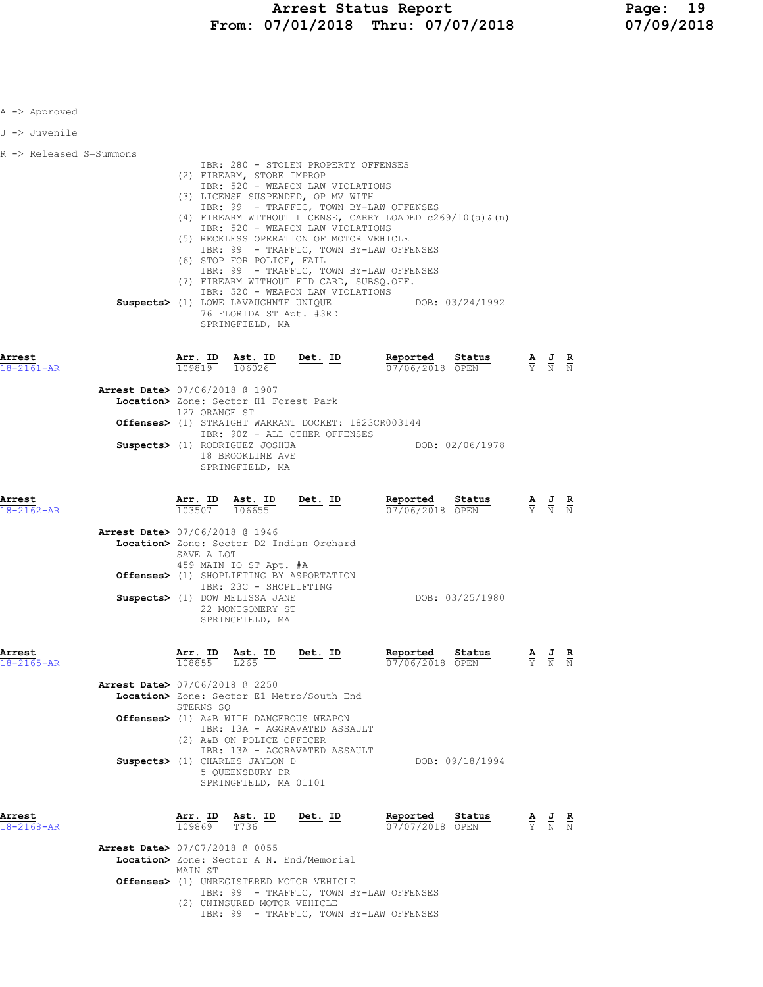| A -> Approved              |                                                                                                                                                                                                                                                                                                                                                                                                                                                                                                                                                                                                                                            |                |                                              |                                                                                                 |  |
|----------------------------|--------------------------------------------------------------------------------------------------------------------------------------------------------------------------------------------------------------------------------------------------------------------------------------------------------------------------------------------------------------------------------------------------------------------------------------------------------------------------------------------------------------------------------------------------------------------------------------------------------------------------------------------|----------------|----------------------------------------------|-------------------------------------------------------------------------------------------------|--|
| J -> Juvenile              |                                                                                                                                                                                                                                                                                                                                                                                                                                                                                                                                                                                                                                            |                |                                              |                                                                                                 |  |
| R -> Released S=Summons    | IBR: 280 - STOLEN PROPERTY OFFENSES<br>(2) FIREARM, STORE IMPROP<br>IBR: 520 - WEAPON LAW VIOLATIONS<br>(3) LICENSE SUSPENDED, OP MV WITH<br>IBR: 99 - TRAFFIC, TOWN BY-LAW OFFENSES<br>(4) FIREARM WITHOUT LICENSE, CARRY LOADED c269/10(a) & (n)<br>IBR: 520 - WEAPON LAW VIOLATIONS<br>(5) RECKLESS OPERATION OF MOTOR VEHICLE<br>IBR: 99 - TRAFFIC, TOWN BY-LAW OFFENSES<br>(6) STOP FOR POLICE, FAIL<br>IBR: 99 - TRAFFIC, TOWN BY-LAW OFFENSES<br>(7) FIREARM WITHOUT FID CARD, SUBSQ.OFF.<br>IBR: 520 - WEAPON LAW VIOLATIONS<br>Suspects> (1) LOWE LAVAUGHNTE UNIQUE DOB: 03/24/1992<br>76 FLORIDA ST Apt. #3RD<br>SPRINGFIELD, MA |                |                                              |                                                                                                 |  |
| Arrest<br>18-2161-AR       | $\frac{\texttt{Arr.}}{109819}$ $\frac{\texttt{ Ast.}}{106026}$                                                                                                                                                                                                                                                                                                                                                                                                                                                                                                                                                                             | $Det. ID$      | Reported<br>Status<br>07/06/2018 OPEN        | $\frac{\mathbf{A}}{\mathbf{Y}}$ $\frac{\mathbf{J}}{\mathbf{N}}$ $\frac{\mathbf{R}}{\mathbf{N}}$ |  |
|                            | Arrest Date> 07/06/2018 @ 1907<br>Location> Zone: Sector H1 Forest Park<br>127 ORANGE ST<br>Offenses> (1) STRAIGHT WARRANT DOCKET: 1823CR003144<br>IBR: 90Z - ALL OTHER OFFENSES<br>Suspects> (1) RODRIGUEZ JOSHUA<br>18 BROOKLINE AVE<br>SPRINGFIELD, MA                                                                                                                                                                                                                                                                                                                                                                                  |                | DOB: 02/06/1978                              |                                                                                                 |  |
| Arrest<br>18-2162-AR       | $\frac{\texttt{Arr.}}{103507}$ $\frac{\texttt{ Ast.}}{106655}$                                                                                                                                                                                                                                                                                                                                                                                                                                                                                                                                                                             | Det. ID        | Reported<br>Status<br>07/06/2018 OPEN        |                                                                                                 |  |
|                            | Arrest Date> 07/06/2018 @ 1946<br>Location> Zone: Sector D2 Indian Orchard<br>SAVE A LOT<br>459 MAIN IO ST Apt. #A<br>Offenses> (1) SHOPLIFTING BY ASPORTATION<br>IBR: 23C - SHOPLIFTING<br>Suspects> (1) DOW MELISSA JANE<br>22 MONTGOMERY ST<br>SPRINGFIELD, MA                                                                                                                                                                                                                                                                                                                                                                          |                | DOB: 03/25/1980                              |                                                                                                 |  |
| Arrest<br>$18 - 2165 - AR$ | $\frac{\text{Ast.}}{\text{L}265}$ ID<br>108855                                                                                                                                                                                                                                                                                                                                                                                                                                                                                                                                                                                             | <u>Det.</u> ID | Reported<br><u>Status</u><br>07/06/2018 OPEN | $\frac{R}{N}$<br>$\overline{Y}$ $\overline{N}$                                                  |  |
|                            | <b>Arrest Date&gt; 07/06/2018 @ 2250</b><br>Location> Zone: Sector E1 Metro/South End<br>STERNS SO<br>Offenses> (1) A&B WITH DANGEROUS WEAPON<br>IBR: 13A - AGGRAVATED ASSAULT<br>(2) A&B ON POLICE OFFICER<br>IBR: 13A - AGGRAVATED ASSAULT<br>Suspects> (1) CHARLES JAYLON D<br>5 QUEENSBURY DR<br>SPRINGFIELD, MA 01101                                                                                                                                                                                                                                                                                                                 |                | DOB: 09/18/1994                              |                                                                                                 |  |
| Arrest<br>$18 - 2168 - AR$ | Arr. ID<br>Ast. ID<br>$rac{\pi}{736}$<br>109869<br>T736<br><b>Arrest Date&gt; 07/07/2018 @ 0055</b>                                                                                                                                                                                                                                                                                                                                                                                                                                                                                                                                        | $Det. ID$      | Reported<br>Status<br>07/07/2018 OPEN        | $\frac{\mathbf{A}}{\mathbf{Y}}$ $\frac{\mathbf{J}}{\mathbf{N}}$ $\frac{\mathbf{R}}{\mathbf{N}}$ |  |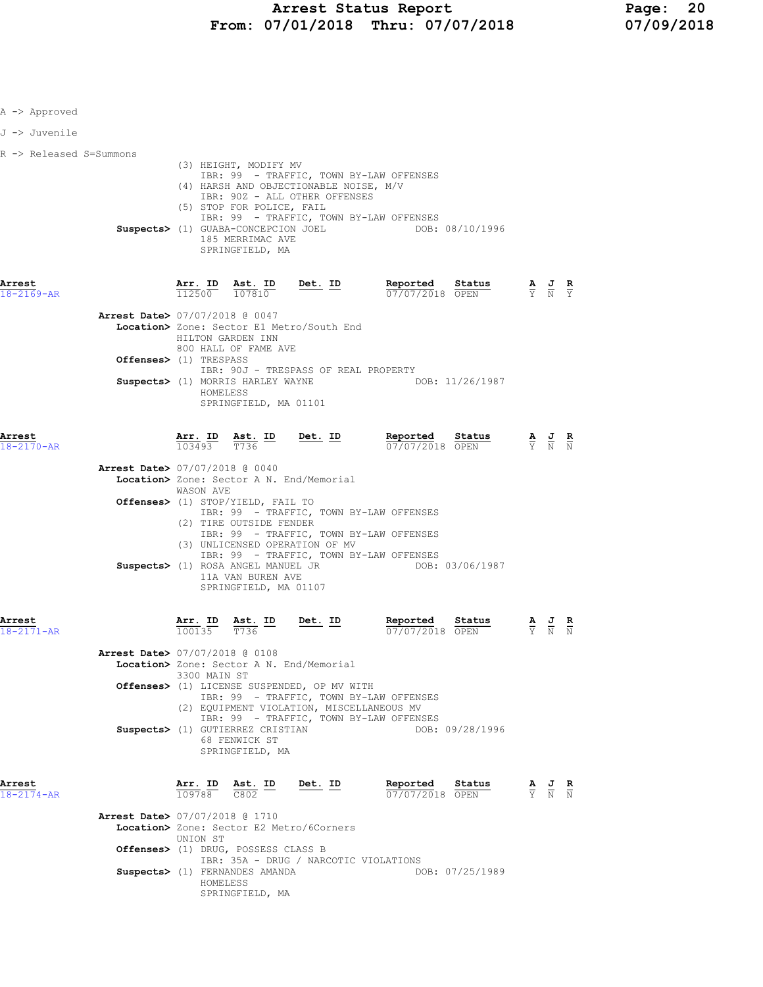| A -> Approved           |                                                                                                                                                                                                                                                                                                                                                                                                        |                                                                                                 |
|-------------------------|--------------------------------------------------------------------------------------------------------------------------------------------------------------------------------------------------------------------------------------------------------------------------------------------------------------------------------------------------------------------------------------------------------|-------------------------------------------------------------------------------------------------|
| J -> Juvenile           |                                                                                                                                                                                                                                                                                                                                                                                                        |                                                                                                 |
| R -> Released S=Summons | (3) HEIGHT, MODIFY MV<br>IBR: 99 - TRAFFIC, TOWN BY-LAW OFFENSES<br>(4) HARSH AND OBJECTIONABLE NOISE, M/V<br>IBR: 90Z - ALL OTHER OFFENSES<br>(5) STOP FOR POLICE, FAIL<br>IBR: 99 - TRAFFIC, TOWN BY-LAW OFFENSES<br>Suspects> (1) GUABA-CONCEPCION JOEL DOB: 08/10/1996<br>185 MERRIMAC AVE<br>SPRINGFIELD, MA                                                                                      |                                                                                                 |
| Arrest<br>18-2169-AR    | Reported Status<br>Arr. ID<br>Ast. ID<br>$Det. ID$<br><b>Reported Status A J R</b> 07/07/2018 OPEN $\frac{1}{Y}$ <b>A</b> $\frac{1}{N}$ <b>R</b><br>112500 107810<br><b>Arrest Date&gt; 07/07/2018 @ 0047</b><br>Location> Zone: Sector E1 Metro/South End                                                                                                                                             |                                                                                                 |
|                         | HILTON GARDEN INN<br>800 HALL OF FAME AVE<br>Offenses> (1) TRESPASS<br>IBR: 90J - TRESPASS OF REAL PROPERTY<br>Suspects> (1) MORRIS HARLEY WAYNE<br>DOB: 11/26/1987<br>HOMELESS<br>SPRINGFIELD, MA 01101                                                                                                                                                                                               |                                                                                                 |
| Arrest<br>18-2170-AR    | <b>Arr. ID</b> Ast. ID Det. ID Reported Status A J R<br>$\frac{103493}{T}$ $\frac{7736}{T}$ Det. ID Reported Status $\frac{1}{2}$ A J R<br>$Arr.$ ID<br>Arrest Date> 07/07/2018 @ 0040                                                                                                                                                                                                                 |                                                                                                 |
|                         | Location> Zone: Sector A N. End/Memorial<br>WASON AVE<br><b>Offenses&gt;</b> (1) STOP/YIELD, FAIL TO<br>IBR: 99 - TRAFFIC, TOWN BY-LAW OFFENSES<br>(2) TIRE OUTSIDE FENDER<br>IBR: 99 - TRAFFIC, TOWN BY-LAW OFFENSES<br>(3) UNLICENSED OPERATION OF MV<br>IBR: 99 - TRAFFIC, TOWN BY-LAW OFFENSES<br>Suspects> (1) ROSA ANGEL MANUEL JR DOB: 03/06/1987<br>11A VAN BUREN AVE<br>SPRINGFIELD, MA 01107 |                                                                                                 |
| Arrest<br>18-2171-AR    | Det. ID<br>Reported<br>Status<br><u>Arr</u> . ID<br>$\frac{\texttt{Ast.}}{\texttt{T736}}$ ID<br>100135<br>T736<br>07/07/2018 OPEN<br>Arrest Date> 07/07/2018 @ 0108<br>Location> Zone: Sector A N. End/Memorial<br>3300 MAIN ST<br>Offenses> (1) LICENSE SUSPENDED, OP MV WITH<br>IBR: 99 - TRAFFIC, TOWN BY-LAW OFFENSES<br>(2) EQUIPMENT VIOLATION, MISCELLANEOUS MV                                 |                                                                                                 |
| Arrest<br>18-2174-AR    | IBR: 99 - TRAFFIC, TOWN BY-LAW OFFENSES<br>Suspects> (1) GUTIERREZ CRISTIAN<br>DOB: 09/28/1996<br>68 FENWICK ST<br>SPRINGFIELD, MA<br>Arr. ID<br>Ast. ID<br><u>Det. ID</u><br>Reported<br>Status<br>109788 C802<br>07/07/2018 OPEN                                                                                                                                                                     | $\frac{\mathbf{A}}{\mathbf{Y}}$ $\frac{\mathbf{J}}{\mathbf{N}}$ $\frac{\mathbf{R}}{\mathbf{N}}$ |
|                         | <b>Arrest Date&gt; 07/07/2018 @ 1710</b><br>Location> Zone: Sector E2 Metro/6Corners<br>UNION ST<br>Offenses> (1) DRUG, POSSESS CLASS B<br>IBR: 35A - DRUG / NARCOTIC VIOLATIONS<br>Suspects> (1) FERNANDES AMANDA<br>DOB: 07/25/1989<br>HOMELESS<br>SPRINGFIELD, MA                                                                                                                                   |                                                                                                 |